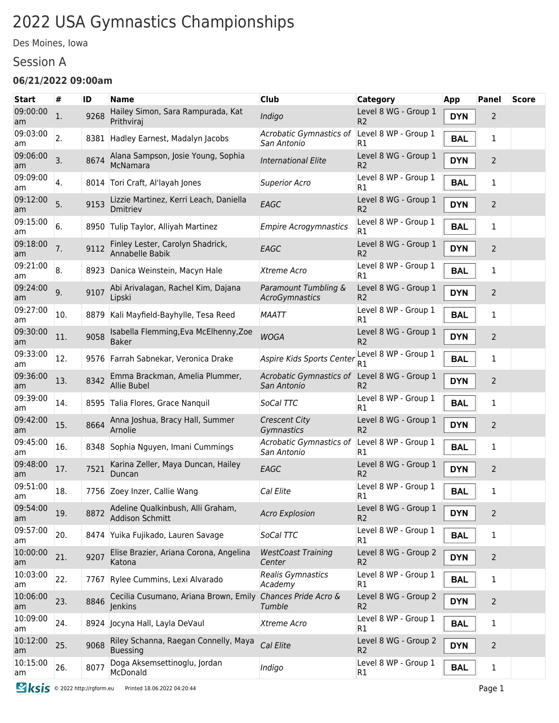# 2022 USA Gymnastics Championships

Des Moines, Iowa

#### Session A

#### **06/21/2022 09:00am**

| <b>Start</b>   | #                | ID   | <b>Name</b>                                                 | <b>Club</b>                            | <b>Category</b>                        | App        | Panel          | <b>Score</b> |
|----------------|------------------|------|-------------------------------------------------------------|----------------------------------------|----------------------------------------|------------|----------------|--------------|
| 09:00:00<br>am | 1.               | 9268 | Hailey Simon, Sara Rampurada, Kat<br>Prithviraj             | Indigo                                 | Level 8 WG - Group 1<br>R <sub>2</sub> | <b>DYN</b> | 2              |              |
| 09:03:00<br>am | $\overline{2}$ . |      | 8381 Hadley Earnest, Madalyn Jacobs                         | Acrobatic Gymnastics of<br>San Antonio | Level 8 WP - Group 1<br>R1             | <b>BAL</b> | 1              |              |
| 09:06:00<br>am | 3.               | 8674 | Alana Sampson, Josie Young, Sophia<br>McNamara              | <b>International Elite</b>             | Level 8 WG - Group 1<br>R <sub>2</sub> | <b>DYN</b> | $\overline{2}$ |              |
| 09:09:00<br>am | 4.               |      | 8014 Tori Craft, Al'layah Jones                             | <b>Superior Acro</b>                   | Level 8 WP - Group 1<br>R1             | <b>BAL</b> | 1              |              |
| 09:12:00<br>am | 5.               | 9153 | Lizzie Martinez, Kerri Leach, Daniella<br>Dmitriev          | EAGC                                   | Level 8 WG - Group 1<br>R <sub>2</sub> | <b>DYN</b> | $\overline{2}$ |              |
| 09:15:00<br>am | 6.               |      | 8950 Tulip Taylor, Alliyah Martinez                         | <b>Empire Acrogymnastics</b>           | Level 8 WP - Group 1<br>R1             | <b>BAL</b> | 1              |              |
| 09:18:00<br>am | 7.               | 9112 | Finley Lester, Carolyn Shadrick,<br>Annabelle Babik         | EAGC                                   | Level 8 WG - Group 1<br>R <sub>2</sub> | <b>DYN</b> | $\overline{2}$ |              |
| 09:21:00<br>am | 8.               | 8923 | Danica Weinstein, Macyn Hale                                | Xtreme Acro                            | Level 8 WP - Group 1<br>R1             | <b>BAL</b> | 1              |              |
| 09:24:00<br>am | 9.               | 9107 | Abi Arivalagan, Rachel Kim, Dajana<br>Lipski                | Paramount Tumbling &<br>AcroGymnastics | Level 8 WG - Group 1<br>R2             | <b>DYN</b> | $\overline{2}$ |              |
| 09:27:00<br>am | 10.              | 8879 | Kali Mayfield-Bayhylle, Tesa Reed                           | <b>MAATT</b>                           | Level 8 WP - Group 1<br>R1             | <b>BAL</b> | 1              |              |
| 09:30:00<br>am | 11.              | 9058 | Isabella Flemming, Eva McElhenny, Zoe<br><b>Baker</b>       | <b>WOGA</b>                            | Level 8 WG - Group 1<br>R <sub>2</sub> | <b>DYN</b> | 2              |              |
| 09:33:00<br>am | 12.              |      | 9576 Farrah Sabnekar, Veronica Drake                        | Aspire Kids Sports Center              | Level 8 WP - Group 1<br>R1             | <b>BAL</b> | 1              |              |
| 09:36:00<br>am | 13.              | 8342 | Emma Brackman, Amelia Plummer,<br><b>Allie Bubel</b>        | Acrobatic Gymnastics of<br>San Antonio | Level 8 WG - Group 1<br>R2             | <b>DYN</b> | 2              |              |
| 09:39:00<br>am | 14.              | 8595 | Talia Flores, Grace Nanguil                                 | SoCal TTC                              | Level 8 WP - Group 1<br>R1             | <b>BAL</b> | 1              |              |
| 09:42:00<br>am | 15.              | 8664 | Anna Joshua, Bracy Hall, Summer<br>Arnolie                  | <b>Crescent City</b><br>Gymnastics     | Level 8 WG - Group 1<br>R <sub>2</sub> | <b>DYN</b> | 2              |              |
| 09:45:00<br>am | 16.              |      | 8348 Sophia Nguyen, Imani Cummings                          | Acrobatic Gymnastics of<br>San Antonio | Level 8 WP - Group 1<br>R1             | <b>BAL</b> | 1              |              |
| 09:48:00<br>am | 17.              | 7521 | Karina Zeller, Maya Duncan, Hailey<br>Duncan                | EAGC                                   | Level 8 WG - Group 1<br>R <sub>2</sub> | <b>DYN</b> | 2              |              |
| 09:51:00<br>am | 18.              |      | 7756 Zoey Inzer, Callie Wang                                | Cal Elite                              | Level 8 WP - Group 1<br>R1             | <b>BAL</b> | 1              |              |
| 09:54:00<br>am | 19.              | 8872 | Adeline Qualkinbush, Alli Graham,<br><b>Addison Schmitt</b> | <b>Acro Explosion</b>                  | Level 8 WG - Group 1<br>R <sub>2</sub> | <b>DYN</b> | $\overline{2}$ |              |
| 09:57:00<br>am | 20.              |      | 8474 Yuika Fujikado, Lauren Savage                          | SoCal TTC                              | Level 8 WP - Group 1<br>R1             | <b>BAL</b> | 1              |              |
| 10:00:00<br>am | 21.              | 9207 | Elise Brazier, Ariana Corona, Angelina<br>Katona            | <b>WestCoast Training</b><br>Center    | Level 8 WG - Group 2<br>R <sub>2</sub> | <b>DYN</b> | $\overline{2}$ |              |
| 10:03:00<br>am | 22.              |      | 7767 Rylee Cummins, Lexi Alvarado                           | Realis Gymnastics<br>Academy           | Level 8 WP - Group 1<br>R1             | <b>BAL</b> | 1              |              |
| 10:06:00<br>am | 23.              | 8846 | Cecilia Cusumano, Ariana Brown, Emily<br>Jenkins            | Chances Pride Acro &<br>Tumble         | Level 8 WG - Group 2<br>R <sub>2</sub> | <b>DYN</b> | $\overline{2}$ |              |
| 10:09:00<br>am | 24.              |      | 8924 Jocyna Hall, Layla DeVaul                              | Xtreme Acro                            | Level 8 WP - Group 1<br>R1             | <b>BAL</b> | $\mathbf{1}$   |              |
| 10:12:00<br>am | 25.              | 9068 | Riley Schanna, Raegan Connelly, Maya<br><b>Buessing</b>     | Cal Elite                              | Level 8 WG - Group 2<br>R <sub>2</sub> | <b>DYN</b> | $\overline{2}$ |              |
| 10:15:00<br>am | 26.              | 8077 | Doga Aksemsettinoglu, Jordan<br>McDonald                    | Indigo                                 | Level 8 WP - Group 1<br>R1             | <b>BAL</b> | $\mathbf{1}$   |              |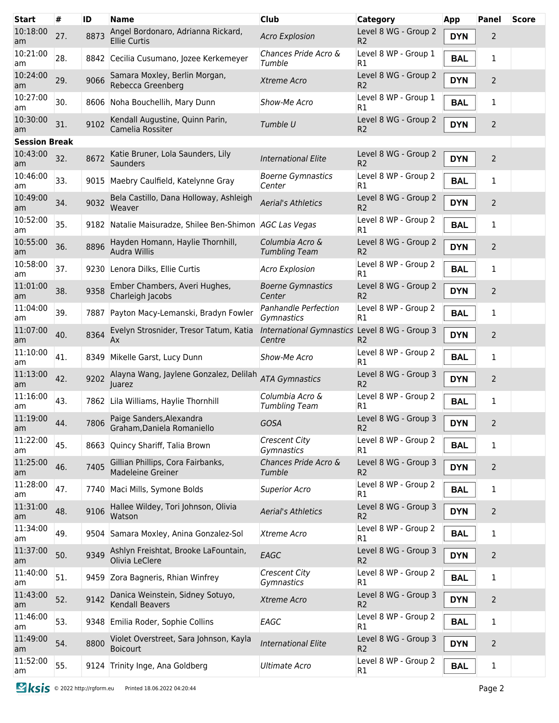| <b>Start</b>         | #   | ID   | <b>Name</b>                                                 | <b>Club</b>                                             | <b>Category</b>                        | <b>App</b> | Panel          | <b>Score</b> |
|----------------------|-----|------|-------------------------------------------------------------|---------------------------------------------------------|----------------------------------------|------------|----------------|--------------|
| 10:18:00<br>am       | 27. | 8873 | Angel Bordonaro, Adrianna Rickard,<br><b>Ellie Curtis</b>   | <b>Acro Explosion</b>                                   | Level 8 WG - Group 2<br>R <sub>2</sub> | <b>DYN</b> | 2              |              |
| 10:21:00<br>am       | 28. |      | 8842 Cecilia Cusumano, Jozee Kerkemeyer                     | Chances Pride Acro &<br>Tumble                          | Level 8 WP - Group 1<br>R1             | <b>BAL</b> | 1              |              |
| 10:24:00<br>am       | 29. | 9066 | Samara Moxley, Berlin Morgan,<br>Rebecca Greenberg          | Xtreme Acro                                             | Level 8 WG - Group 2<br>R <sub>2</sub> | <b>DYN</b> | 2              |              |
| 10:27:00<br>am       | 30. |      | 8606 Noha Bouchellih, Mary Dunn                             | Show-Me Acro                                            | Level 8 WP - Group 1<br>R1             | <b>BAL</b> | 1              |              |
| 10:30:00<br>am       | 31. | 9102 | Kendall Augustine, Quinn Parin,<br>Camelia Rossiter         | Tumble U                                                | Level 8 WG - Group 2<br>R <sub>2</sub> | <b>DYN</b> | 2              |              |
| <b>Session Break</b> |     |      |                                                             |                                                         |                                        |            |                |              |
| 10:43:00<br>am       | 32. | 8672 | Katie Bruner, Lola Saunders, Lily<br>Saunders               | <b>International Elite</b>                              | Level 8 WG - Group 2<br>R <sub>2</sub> | <b>DYN</b> | $\overline{2}$ |              |
| 10:46:00<br>am       | 33. |      | 9015 Maebry Caulfield, Katelynne Gray                       | <b>Boerne Gymnastics</b><br>Center                      | Level 8 WP - Group 2<br>R1             | <b>BAL</b> | 1              |              |
| 10:49:00<br>am       | 34. | 9032 | Bela Castillo, Dana Holloway, Ashleigh<br>Weaver            | <b>Aerial's Athletics</b>                               | Level 8 WG - Group 2<br>R <sub>2</sub> | <b>DYN</b> | $\overline{2}$ |              |
| 10:52:00<br>am       | 35. |      | 9182 Natalie Maisuradze, Shilee Ben-Shimon AGC Las Vegas    |                                                         | Level 8 WP - Group 2<br>R1             | <b>BAL</b> | 1              |              |
| 10:55:00<br>am       | 36. | 8896 | Hayden Homann, Haylie Thornhill,<br>Audra Willis            | Columbia Acro &<br><b>Tumbling Team</b>                 | Level 8 WG - Group 2<br>R <sub>2</sub> | <b>DYN</b> | 2              |              |
| 10:58:00<br>am       | 37. | 9230 | Lenora Dilks, Ellie Curtis                                  | <b>Acro Explosion</b>                                   | Level 8 WP - Group 2<br>R1             | <b>BAL</b> | 1              |              |
| 11:01:00<br>am       | 38. | 9358 | Ember Chambers, Averi Hughes,<br>Charleigh Jacobs           | <b>Boerne Gymnastics</b><br>Center                      | Level 8 WG - Group 2<br>R <sub>2</sub> | <b>DYN</b> | 2              |              |
| 11:04:00<br>am       | 39. | 7887 | Payton Macy-Lemanski, Bradyn Fowler                         | Panhandle Perfection<br>Gymnastics                      | Level 8 WP - Group 2<br>R1             | <b>BAL</b> | 1              |              |
| 11:07:00<br>am       | 40. | 8364 | Evelyn Strosnider, Tresor Tatum, Katia<br>Ax                | International Gymnastics Level 8 WG - Group 3<br>Centre | R <sub>2</sub>                         | <b>DYN</b> | 2              |              |
| 11:10:00<br>am       | 41. | 8349 | Mikelle Garst, Lucy Dunn                                    | Show-Me Acro                                            | Level 8 WP - Group 2<br>R1             | <b>BAL</b> | 1              |              |
| 11:13:00<br>am       | 42. | 9202 | Alayna Wang, Jaylene Gonzalez, Delilah<br>Juarez            | <b>ATA Gymnastics</b>                                   | Level 8 WG - Group 3<br>R <sub>2</sub> | <b>DYN</b> | $\overline{2}$ |              |
| 11:16:00<br>am       | 43. |      | 7862 Lila Williams, Haylie Thornhill                        | Columbia Acro &<br><b>Tumbling Team</b>                 | Level 8 WP - Group 2<br>R1             | <b>BAL</b> | 1              |              |
| 11:19:00<br>am       | 44. |      | 7806 Paige Sanders, Alexandra<br>Graham, Daniela Romaniello | GOSA                                                    | Level 8 WG - Group 3<br>R <sub>2</sub> | <b>DYN</b> | $\overline{2}$ |              |
| 11:22:00<br>am       | 45. |      | 8663 Quincy Shariff, Talia Brown                            | <b>Crescent City</b><br>Gymnastics                      | Level 8 WP - Group 2<br>R1             | <b>BAL</b> | $\mathbf{1}$   |              |
| 11:25:00<br>am       | 46. | 7405 | Gillian Phillips, Cora Fairbanks,<br>Madeleine Greiner      | Chances Pride Acro &<br>Tumble                          | Level 8 WG - Group 3<br>R <sub>2</sub> | <b>DYN</b> | 2              |              |
| 11:28:00<br>am       | 47. |      | 7740 Maci Mills, Symone Bolds                               | <b>Superior Acro</b>                                    | Level 8 WP - Group 2<br>R1             | <b>BAL</b> | $\mathbf{1}$   |              |
| 11:31:00<br>am       | 48. | 9106 | Hallee Wildey, Tori Johnson, Olivia<br>Watson               | <b>Aerial's Athletics</b>                               | Level 8 WG - Group 3<br>R <sub>2</sub> | <b>DYN</b> | 2              |              |
| 11:34:00<br>am       | 49. |      | 9504 Samara Moxley, Anina Gonzalez-Sol                      | Xtreme Acro                                             | Level 8 WP - Group 2<br>R1             | <b>BAL</b> | $\mathbf{1}$   |              |
| 11:37:00<br>am       | 50. | 9349 | Ashlyn Freishtat, Brooke LaFountain,<br>Olivia LeClere      | EAGC                                                    | Level 8 WG - Group 3<br>R <sub>2</sub> | <b>DYN</b> | 2              |              |
| 11:40:00<br>am       | 51. | 9459 | Zora Bagneris, Rhian Winfrey                                | <b>Crescent City</b><br>Gymnastics                      | Level 8 WP - Group 2<br>R1             | <b>BAL</b> | 1              |              |
| 11:43:00<br>am       | 52. | 9142 | Danica Weinstein, Sidney Sotuyo,<br>Kendall Beavers         | Xtreme Acro                                             | Level 8 WG - Group 3<br>R <sub>2</sub> | <b>DYN</b> | 2              |              |
| 11:46:00<br>am       | 53. |      | 9348 Emilia Roder, Sophie Collins                           | EAGC                                                    | Level 8 WP - Group 2<br>R1             | <b>BAL</b> | 1              |              |
| 11:49:00<br>am       | 54. | 8800 | Violet Overstreet, Sara Johnson, Kayla<br><b>Boicourt</b>   | <b>International Elite</b>                              | Level 8 WG - Group 3<br>R <sub>2</sub> | <b>DYN</b> | 2              |              |
| 11:52:00<br>am       | 55. |      | 9124 Trinity Inge, Ana Goldberg                             | <b>Ultimate Acro</b>                                    | Level 8 WP - Group 2<br>R1             | <b>BAL</b> | 1              |              |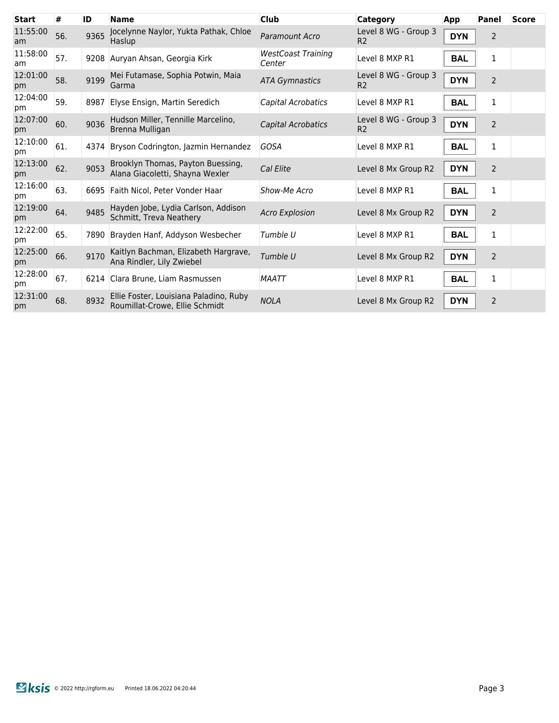| #   |      | <b>Name</b>                                                              | <b>Club</b>                                                                                      | <b>Category</b>                        | App        | <b>Panel</b>   | <b>Score</b> |
|-----|------|--------------------------------------------------------------------------|--------------------------------------------------------------------------------------------------|----------------------------------------|------------|----------------|--------------|
| 56. | 9365 | Jocelynne Naylor, Yukta Pathak, Chloe<br>Haslup                          | Paramount Acro                                                                                   | Level 8 WG - Group 3<br>R <sub>2</sub> | <b>DYN</b> | $\overline{2}$ |              |
| 57. | 9208 |                                                                          | <b>WestCoast Training</b><br>Center                                                              | Level 8 MXP R1                         | <b>BAL</b> | 1              |              |
| 58. | 9199 | Mei Futamase, Sophia Potwin, Maia<br>Garma                               | <b>ATA Gymnastics</b>                                                                            | Level 8 WG - Group 3<br>R <sub>2</sub> | <b>DYN</b> | $\overline{2}$ |              |
| 59. | 8987 | Elyse Ensign, Martin Seredich                                            | Capital Acrobatics                                                                               | Level 8 MXP R1                         | <b>BAL</b> | 1              |              |
| 60. | 9036 | Hudson Miller, Tennille Marcelino,<br>Brenna Mulligan                    | Capital Acrobatics                                                                               | Level 8 WG - Group 3<br>R <sub>2</sub> | <b>DYN</b> | $\overline{2}$ |              |
| 61. | 4374 | Bryson Codrington, Jazmin Hernandez                                      | <b>GOSA</b>                                                                                      | Level 8 MXP R1                         | <b>BAL</b> | 1              |              |
| 62. | 9053 | Brooklyn Thomas, Payton Buessing,<br>Alana Giacoletti, Shayna Wexler     | Cal Elite                                                                                        | Level 8 Mx Group R2                    | <b>DYN</b> | $\overline{2}$ |              |
| 63. |      |                                                                          | Show-Me Acro                                                                                     | Level 8 MXP R1                         | <b>BAL</b> | 1              |              |
| 64. | 9485 | Hayden Jobe, Lydia Carlson, Addison<br>Schmitt, Treva Neathery           | <b>Acro Explosion</b>                                                                            | Level 8 Mx Group R2                    | <b>DYN</b> | $\overline{2}$ |              |
| 65. | 7890 | Brayden Hanf, Addyson Wesbecher                                          | Tumble U                                                                                         | Level 8 MXP R1                         | <b>BAL</b> | 1              |              |
| 66. | 9170 | Kaitlyn Bachman, Elizabeth Hargrave,<br>Ana Rindler, Lily Zwiebel        | Tumble U                                                                                         | Level 8 Mx Group R2                    | <b>DYN</b> | $\overline{2}$ |              |
| 67. | 6214 |                                                                          | <b>MAATT</b>                                                                                     | Level 8 MXP R1                         | <b>BAL</b> | $\mathbf{1}$   |              |
| 68. | 8932 | Ellie Foster, Louisiana Paladino, Ruby<br>Roumillat-Crowe, Ellie Schmidt | <b>NOLA</b>                                                                                      | Level 8 Mx Group R2                    | <b>DYN</b> | $\overline{2}$ |              |
|     |      | ID                                                                       | Auryan Ahsan, Georgia Kirk<br>6695 Faith Nicol, Peter Vonder Haar<br>Clara Brune. Liam Rasmussen |                                        |            |                |              |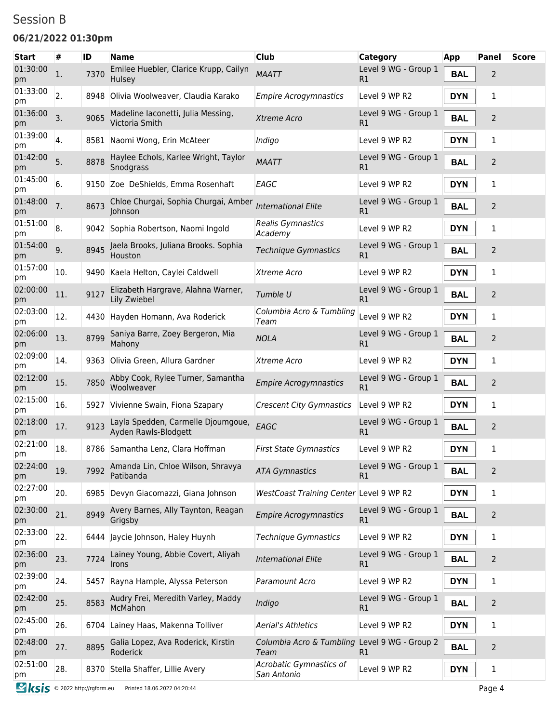### Session B

#### **06/21/2022 01:30pm**

| 01:30:00<br>pm<br>01:33:00<br>pm<br>01:36:00<br>pm | 1.<br>2.<br>3.<br>4. | 7370<br>8948<br>9065 | Emilee Huebler, Clarice Krupp, Cailyn<br>Hulsey<br>Olivia Woolweaver, Claudia Karako<br>Madeline Iaconetti, Julia Messing, | <b>MAATT</b><br><b>Empire Acrogymnastics</b>          | Level 9 WG - Group 1<br>R1 | <b>BAL</b> | 2              |  |
|----------------------------------------------------|----------------------|----------------------|----------------------------------------------------------------------------------------------------------------------------|-------------------------------------------------------|----------------------------|------------|----------------|--|
|                                                    |                      |                      |                                                                                                                            |                                                       |                            |            |                |  |
|                                                    |                      |                      |                                                                                                                            |                                                       | Level 9 WP R2              | <b>DYN</b> | 1              |  |
|                                                    |                      |                      | Victoria Smith                                                                                                             | Xtreme Acro                                           | Level 9 WG - Group 1<br>R1 | <b>BAL</b> | 2              |  |
| 01:39:00<br>pm                                     |                      | 8581                 | Naomi Wong, Erin McAteer                                                                                                   | Indigo                                                | Level 9 WP R2              | <b>DYN</b> | 1              |  |
| 01:42:00<br>pm                                     | 5.                   | 8878                 | Haylee Echols, Karlee Wright, Taylor<br>Snodgrass                                                                          | <b>MAATT</b>                                          | Level 9 WG - Group 1<br>R1 | <b>BAL</b> | 2              |  |
| 01:45:00<br>pm                                     | 6.                   | 9150                 | Zoe DeShields, Emma Rosenhaft                                                                                              | EAGC                                                  | Level 9 WP R2              | <b>DYN</b> | 1              |  |
| 01:48:00<br>pm                                     | 7.                   | 8673                 | Chloe Churgai, Sophia Churgai, Amber<br>Johnson                                                                            | <b>International Elite</b>                            | Level 9 WG - Group 1<br>R1 | <b>BAL</b> | $\overline{2}$ |  |
| 01:51:00<br>pm                                     | 8.                   |                      | 9042 Sophia Robertson, Naomi Ingold                                                                                        | Realis Gymnastics<br>Academy                          | Level 9 WP R2              | <b>DYN</b> | 1              |  |
| 01:54:00<br>pm                                     | 9.                   | 8945                 | Jaela Brooks, Juliana Brooks. Sophia<br>Houston                                                                            | <b>Technique Gymnastics</b>                           | Level 9 WG - Group 1<br>R1 | <b>BAL</b> | $\overline{2}$ |  |
| 01:57:00<br>pm                                     | 10.                  | 9490                 | Kaela Helton, Caylei Caldwell                                                                                              | Xtreme Acro                                           | Level 9 WP R2              | <b>DYN</b> | 1              |  |
| 02:00:00<br>pm                                     | 11.                  | 9127                 | Elizabeth Hargrave, Alahna Warner,<br>Lily Zwiebel                                                                         | Tumble U                                              | Level 9 WG - Group 1<br>R1 | <b>BAL</b> | $\overline{2}$ |  |
| 02:03:00<br>pm                                     | 12.                  | 4430                 | Hayden Homann, Ava Roderick                                                                                                | Columbia Acro & Tumbling<br>Team                      | Level 9 WP R2              | <b>DYN</b> | 1              |  |
| 02:06:00<br>pm                                     | 13.                  | 8799                 | Saniya Barre, Zoey Bergeron, Mia<br>Mahony                                                                                 | <b>NOLA</b>                                           | Level 9 WG - Group 1<br>R1 | <b>BAL</b> | $\overline{2}$ |  |
| 02:09:00<br>pm                                     | 14.                  | 9363                 | Olivia Green, Allura Gardner                                                                                               | Xtreme Acro                                           | Level 9 WP R2              | <b>DYN</b> | 1              |  |
| 02:12:00<br>pm                                     | 15.                  | 7850                 | Abby Cook, Rylee Turner, Samantha<br>Woolweaver                                                                            | <b>Empire Acrogymnastics</b>                          | Level 9 WG - Group 1<br>R1 | <b>BAL</b> | 2              |  |
| 02:15:00<br>pm                                     | 16.                  | 5927                 | Vivienne Swain, Fiona Szapary                                                                                              | <b>Crescent City Gymnastics</b>                       | Level 9 WP R2              | <b>DYN</b> | 1              |  |
| 02:18:00<br>pm                                     | 17.                  | 9123                 | Layla Spedden, Carmelle Djoumgoue,<br>Ayden Rawls-Blodgett                                                                 | EAGC                                                  | Level 9 WG - Group 1<br>R1 | <b>BAL</b> | 2              |  |
| 02:21:00<br>pm                                     | 18.                  |                      | 8786 Samantha Lenz, Clara Hoffman                                                                                          | <b>First State Gymnastics</b>                         | Level 9 WP R2              | <b>DYN</b> | 1              |  |
| 02:24:00<br>pm                                     | 19.                  | 7992                 | Amanda Lin, Chloe Wilson, Shravya<br>Patibanda                                                                             | <b>ATA Gymnastics</b>                                 | Level 9 WG - Group 1<br>R1 | <b>BAL</b> | $\overline{2}$ |  |
| 02:27:00<br>pm                                     | 20.                  |                      | 6985 Devyn Giacomazzi, Giana Johnson                                                                                       | WestCoast Training Center Level 9 WP R2               |                            | <b>DYN</b> | 1              |  |
| 02:30:00<br>pm                                     | 21.                  | 8949                 | Avery Barnes, Ally Taynton, Reagan<br>Grigsby                                                                              | <b>Empire Acrogymnastics</b>                          | Level 9 WG - Group 1<br>R1 | <b>BAL</b> | $\overline{2}$ |  |
| 02:33:00<br>pm                                     | 22.                  |                      | 6444 Jaycie Johnson, Haley Huynh                                                                                           | Technique Gymnastics                                  | Level 9 WP R2              | <b>DYN</b> | 1              |  |
| 02:36:00<br>pm                                     | 23.                  | 7724                 | Lainey Young, Abbie Covert, Aliyah<br><b>Irons</b>                                                                         | <b>International Elite</b>                            | Level 9 WG - Group 1<br>R1 | <b>BAL</b> | $\overline{2}$ |  |
| 02:39:00<br>pm                                     | 24.                  |                      | 5457 Rayna Hample, Alyssa Peterson                                                                                         | Paramount Acro                                        | Level 9 WP R2              | <b>DYN</b> | 1              |  |
| 02:42:00<br>pm                                     | 25.                  | 8583                 | Audry Frei, Meredith Varley, Maddy<br>McMahon                                                                              | Indigo                                                | Level 9 WG - Group 1<br>R1 | <b>BAL</b> | $\overline{2}$ |  |
| 02:45:00<br>pm                                     | 26.                  |                      | 6704 Lainey Haas, Makenna Tolliver                                                                                         | <b>Aerial's Athletics</b>                             | Level 9 WP R2              | <b>DYN</b> | $\mathbf{1}$   |  |
| 02:48:00<br>pm                                     | 27.                  | 8895                 | Galia Lopez, Ava Roderick, Kirstin<br>Roderick                                                                             | Columbia Acro & Tumbling Level 9 WG - Group 2<br>Team | R1                         | <b>BAL</b> | 2              |  |
| 02:51:00<br>pm                                     | 28.                  |                      | 8370 Stella Shaffer, Lillie Avery                                                                                          | Acrobatic Gymnastics of<br>San Antonio                | Level 9 WP R2              | <b>DYN</b> | $\mathbf{1}$   |  |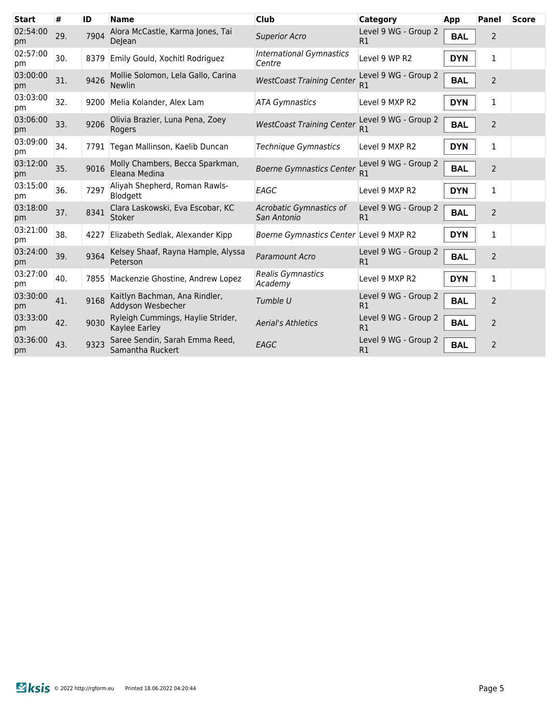| <b>Start</b>   | #   | ID   | <b>Name</b>                                         | <b>Club</b>                               | Category                   | App        | Panel          | <b>Score</b> |
|----------------|-----|------|-----------------------------------------------------|-------------------------------------------|----------------------------|------------|----------------|--------------|
| 02:54:00<br>pm | 29. | 7904 | Alora McCastle, Karma Jones, Tai<br>DeJean          | <b>Superior Acro</b>                      | Level 9 WG - Group 2<br>R1 | <b>BAL</b> | 2              |              |
| 02:57:00<br>pm | 30. | 8379 | Emily Gould, Xochitl Rodriguez                      | <b>International Gymnastics</b><br>Centre | Level 9 WP R2              | <b>DYN</b> | 1              |              |
| 03:00:00<br>pm | 31. | 9426 | Mollie Solomon, Lela Gallo, Carina<br><b>Newlin</b> | <b>WestCoast Training Center</b>          | Level 9 WG - Group 2<br>R1 | <b>BAL</b> | $\overline{2}$ |              |
| 03:03:00<br>pm | 32. | 9200 | Melia Kolander, Alex Lam                            | <b>ATA Gymnastics</b>                     | Level 9 MXP R2             | <b>DYN</b> | 1              |              |
| 03:06:00<br>pm | 33. | 9206 | Olivia Brazier, Luna Pena, Zoey<br>Rogers           | <b>WestCoast Training Center</b>          | Level 9 WG - Group 2<br>R1 | <b>BAL</b> | 2              |              |
| 03:09:00<br>pm | 34. | 7791 | Tegan Mallinson, Kaelib Duncan                      | <b>Technique Gymnastics</b>               | Level 9 MXP R2             | <b>DYN</b> | 1              |              |
| 03:12:00<br>pm | 35. | 9016 | Molly Chambers, Becca Sparkman,<br>Eleana Medina    | <b>Boerne Gymnastics Center</b>           | Level 9 WG - Group 2<br>R1 | <b>BAL</b> | $\overline{2}$ |              |
| 03:15:00<br>pm | 36. | 7297 | Aliyah Shepherd, Roman Rawls-<br>Blodgett           | EAGC                                      | Level 9 MXP R2             | <b>DYN</b> | 1              |              |
| 03:18:00<br>pm | 37. | 8341 | Clara Laskowski, Eva Escobar, KC<br>Stoker          | Acrobatic Gymnastics of<br>San Antonio    | Level 9 WG - Group 2<br>R1 | <b>BAL</b> | 2              |              |
| 03:21:00<br>pm | 38. | 4227 | Elizabeth Sedlak, Alexander Kipp                    | Boerne Gymnastics Center Level 9 MXP R2   |                            | <b>DYN</b> | 1              |              |
| 03:24:00<br>pm | 39. | 9364 | Kelsey Shaaf, Rayna Hample, Alyssa<br>Peterson      | Paramount Acro                            | Level 9 WG - Group 2<br>R1 | <b>BAL</b> | 2              |              |
| 03:27:00<br>pm | 40. | 7855 | Mackenzie Ghostine, Andrew Lopez                    | Realis Gymnastics<br>Academy              | Level 9 MXP R2             | <b>DYN</b> | 1              |              |
| 03:30:00<br>pm | 41. | 9168 | Kaitlyn Bachman, Ana Rindler,<br>Addyson Wesbecher  | Tumble U                                  | Level 9 WG - Group 2<br>R1 | <b>BAL</b> | 2              |              |
| 03:33:00<br>pm | 42. | 9030 | Ryleigh Cummings, Haylie Strider,<br>Kaylee Earley  | <b>Aerial's Athletics</b>                 | Level 9 WG - Group 2<br>R1 | <b>BAL</b> | $\overline{2}$ |              |
| 03:36:00<br>pm | 43. | 9323 | Saree Sendin, Sarah Emma Reed,<br>Samantha Ruckert  | EAGC                                      | Level 9 WG - Group 2<br>R1 | <b>BAL</b> | 2              |              |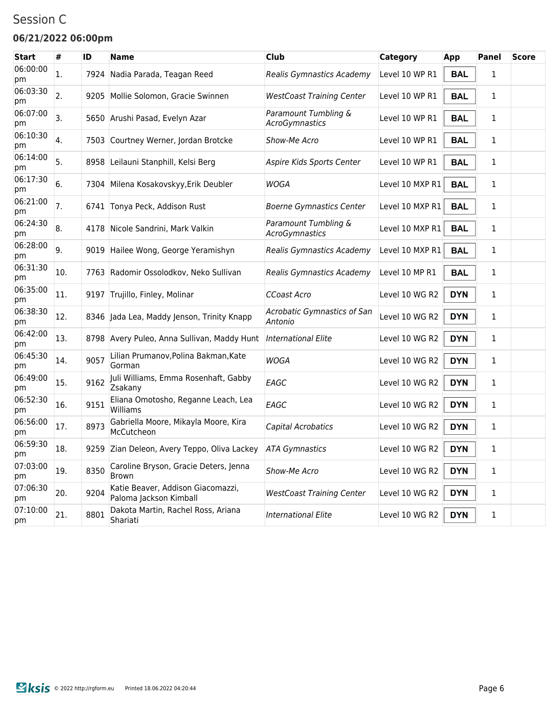### Session C

#### **06/21/2022 06:00pm**

| <b>Start</b>   | #   | ID   | <b>Name</b>                                                 | Club                                   | Category        | App        | <b>Panel</b> | <b>Score</b> |
|----------------|-----|------|-------------------------------------------------------------|----------------------------------------|-----------------|------------|--------------|--------------|
| 06:00:00<br>рm | 1.  | 7924 | Nadia Parada, Teagan Reed                                   | Realis Gymnastics Academy              | Level 10 WP R1  | <b>BAL</b> | $\mathbf{1}$ |              |
| 06:03:30<br>pm | 2.  |      | 9205 Mollie Solomon, Gracie Swinnen                         | <b>WestCoast Training Center</b>       | Level 10 WP R1  | <b>BAL</b> | 1            |              |
| 06:07:00<br>pm | 3.  |      | 5650 Arushi Pasad, Evelyn Azar                              | Paramount Tumbling &<br>AcroGymnastics | Level 10 WP R1  | <b>BAL</b> | $\mathbf{1}$ |              |
| 06:10:30<br>pm | 4.  |      | 7503 Courtney Werner, Jordan Brotcke                        | Show-Me Acro                           | Level 10 WP R1  | <b>BAL</b> | 1            |              |
| 06:14:00<br>pm | 5.  | 8958 | Leilauni Stanphill, Kelsi Berg                              | Aspire Kids Sports Center              | Level 10 WP R1  | <b>BAL</b> | 1            |              |
| 06:17:30<br>pm | 6.  |      | 7304 Milena Kosakovskyy, Erik Deubler                       | WOGA                                   | Level 10 MXP R1 | <b>BAL</b> | $\mathbf{1}$ |              |
| 06:21:00<br>pm | 7.  |      | 6741 Tonya Peck, Addison Rust                               | <b>Boerne Gymnastics Center</b>        | Level 10 MXP R1 | <b>BAL</b> | $\mathbf{1}$ |              |
| 06:24:30<br>pm | 8.  |      | 4178 Nicole Sandrini, Mark Valkin                           | Paramount Tumbling &<br>AcroGymnastics | Level 10 MXP R1 | <b>BAL</b> | $\mathbf{1}$ |              |
| 06:28:00<br>рm | 9.  |      | 9019 Hailee Wong, George Yeramishyn                         | Realis Gymnastics Academy              | Level 10 MXP R1 | <b>BAL</b> | 1            |              |
| 06:31:30<br>pm | 10. |      | 7763 Radomir Ossolodkov, Neko Sullivan                      | Realis Gymnastics Academy              | Level 10 MP R1  | <b>BAL</b> | $\mathbf{1}$ |              |
| 06:35:00<br>pm | 11. |      | 9197 Trujillo, Finley, Molinar                              | <b>CCoast Acro</b>                     | Level 10 WG R2  | <b>DYN</b> | 1            |              |
| 06:38:30<br>pm | 12. |      | 8346 Jada Lea, Maddy Jenson, Trinity Knapp                  | Acrobatic Gymnastics of San<br>Antonio | Level 10 WG R2  | <b>DYN</b> | 1            |              |
| 06:42:00<br>pm | 13. |      | 8798 Avery Puleo, Anna Sullivan, Maddy Hunt                 | <b>International Elite</b>             | Level 10 WG R2  | <b>DYN</b> | 1            |              |
| 06:45:30<br>pm | 14. | 9057 | Lilian Prumanov, Polina Bakman, Kate<br>Gorman              | WOGA                                   | Level 10 WG R2  | <b>DYN</b> | $\mathbf{1}$ |              |
| 06:49:00<br>pm | 15. | 9162 | Juli Williams, Emma Rosenhaft, Gabby<br>Zsakany             | EAGC                                   | Level 10 WG R2  | <b>DYN</b> | $\mathbf{1}$ |              |
| 06:52:30<br>pm | 16. | 9151 | Eliana Omotosho, Reganne Leach, Lea<br>Williams             | EAGC                                   | Level 10 WG R2  | <b>DYN</b> | 1            |              |
| 06:56:00<br>pm | 17. | 8973 | Gabriella Moore, Mikayla Moore, Kira<br>McCutcheon          | Capital Acrobatics                     | Level 10 WG R2  | <b>DYN</b> | 1            |              |
| 06:59:30<br>pm | 18. |      | 9259 Zian Deleon, Avery Teppo, Oliva Lackey                 | <b>ATA Gymnastics</b>                  | Level 10 WG R2  | <b>DYN</b> | 1            |              |
| 07:03:00<br>pm | 19. | 8350 | Caroline Bryson, Gracie Deters, Jenna<br><b>Brown</b>       | Show-Me Acro                           | Level 10 WG R2  | <b>DYN</b> | $\mathbf{1}$ |              |
| 07:06:30<br>рm | 20. | 9204 | Katie Beaver, Addison Giacomazzi,<br>Paloma Jackson Kimball | <b>WestCoast Training Center</b>       | Level 10 WG R2  | <b>DYN</b> | $\mathbf{1}$ |              |
| 07:10:00<br>рm | 21. | 8801 | Dakota Martin, Rachel Ross, Ariana<br>Shariati              | <b>International Elite</b>             | Level 10 WG R2  | <b>DYN</b> | $\mathbf{1}$ |              |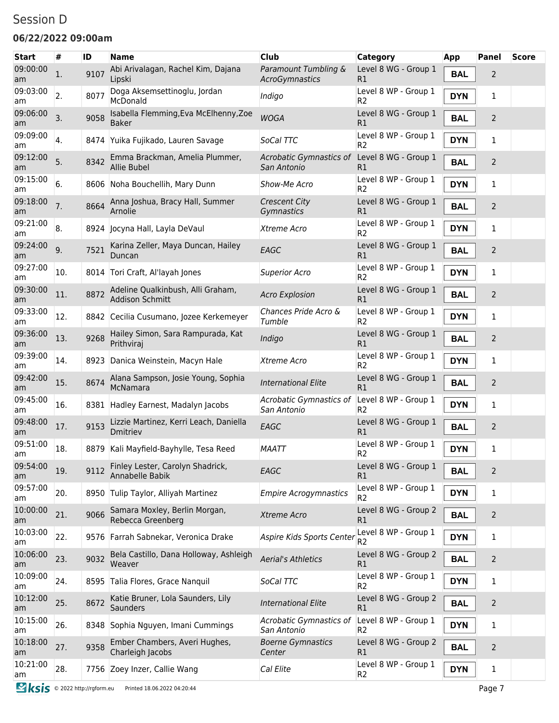### Session D

#### **06/22/2022 09:00am**

| <b>Start</b>   | #              | ID   | <b>Name</b>                                          | <b>Club</b>                            | Category                               | App        | <b>Panel</b>   | <b>Score</b> |
|----------------|----------------|------|------------------------------------------------------|----------------------------------------|----------------------------------------|------------|----------------|--------------|
| 09:00:00<br>am | $\mathbf{1}$ . | 9107 | Abi Arivalagan, Rachel Kim, Dajana<br>Lipski         | Paramount Tumbling &<br>AcroGymnastics | Level 8 WG - Group 1<br>R1             | <b>BAL</b> | 2              |              |
| 09:03:00<br>am | 2.             | 8077 | Doga Aksemsettinoglu, Jordan<br>McDonald             | Indigo                                 | Level 8 WP - Group 1<br>R2             | <b>DYN</b> | 1              |              |
| 09:06:00<br>am | 3.             | 9058 | Isabella Flemming, Eva McElhenny, Zoe<br>Baker       | <b>WOGA</b>                            | Level 8 WG - Group 1<br>R1             | <b>BAL</b> | 2              |              |
| 09:09:00<br>am | 4.             | 8474 | Yuika Fujikado, Lauren Savage                        | SoCal TTC                              | Level 8 WP - Group 1<br>R2             | <b>DYN</b> | 1              |              |
| 09:12:00<br>am | 5.             | 8342 | Emma Brackman, Amelia Plummer,<br>Allie Bubel        | Acrobatic Gymnastics of<br>San Antonio | Level 8 WG - Group 1<br>R1             | <b>BAL</b> | 2              |              |
| 09:15:00<br>am | 6.             |      | 8606 Noha Bouchellih, Mary Dunn                      | Show-Me Acro                           | Level 8 WP - Group 1<br>R <sub>2</sub> | <b>DYN</b> | 1              |              |
| 09:18:00<br>am | 7.             | 8664 | Anna Joshua, Bracy Hall, Summer<br>Arnolie           | <b>Crescent City</b><br>Gymnastics     | Level 8 WG - Group 1<br>R1             | <b>BAL</b> | 2              |              |
| 09:21:00<br>am | 8.             |      | 8924 Jocyna Hall, Layla DeVaul                       | Xtreme Acro                            | Level 8 WP - Group 1<br>R <sub>2</sub> | <b>DYN</b> | 1              |              |
| 09:24:00<br>am | 9.             | 7521 | Karina Zeller, Maya Duncan, Hailey<br>Duncan         | EAGC                                   | Level 8 WG - Group 1<br>R1             | <b>BAL</b> | 2              |              |
| 09:27:00<br>am | 10.            |      | 8014 Tori Craft, Al'layah Jones                      | <b>Superior Acro</b>                   | Level 8 WP - Group 1<br>R <sub>2</sub> | <b>DYN</b> | 1              |              |
| 09:30:00<br>am | 11.            | 8872 | Adeline Qualkinbush, Alli Graham,<br>Addison Schmitt | <b>Acro Explosion</b>                  | Level 8 WG - Group 1<br>R1             | <b>BAL</b> | 2              |              |
| 09:33:00<br>am | 12.            | 8842 | Cecilia Cusumano, Jozee Kerkemeyer                   | Chances Pride Acro &<br>Tumble         | Level 8 WP - Group 1<br>R <sub>2</sub> | <b>DYN</b> | 1              |              |
| 09:36:00<br>am | 13.            | 9268 | Hailey Simon, Sara Rampurada, Kat<br>Prithviraj      | Indigo                                 | Level 8 WG - Group 1<br>R1             | <b>BAL</b> | $\overline{2}$ |              |
| 09:39:00<br>am | 14.            | 8923 | Danica Weinstein, Macyn Hale                         | Xtreme Acro                            | Level 8 WP - Group 1<br>R <sub>2</sub> | <b>DYN</b> | 1              |              |
| 09:42:00<br>am | 15.            | 8674 | Alana Sampson, Josie Young, Sophia<br>McNamara       | <b>International Elite</b>             | Level 8 WG - Group 1<br>R1             | <b>BAL</b> | $\overline{2}$ |              |
| 09:45:00<br>am | 16.            |      | 8381 Hadley Earnest, Madalyn Jacobs                  | Acrobatic Gymnastics of<br>San Antonio | Level 8 WP - Group 1<br>R <sub>2</sub> | <b>DYN</b> | 1              |              |
| 09:48:00<br>am | 17.            | 9153 | Lizzie Martinez, Kerri Leach, Daniella<br>Dmitriev   | EAGC                                   | Level 8 WG - Group 1<br>R1             | <b>BAL</b> | $\overline{2}$ |              |
| 09:51:00<br>am | 18.            |      | 8879 Kali Mayfield-Bayhylle, Tesa Reed               | <b>MAATT</b>                           | Level 8 WP - Group 1<br>R <sub>2</sub> | <b>DYN</b> | 1              |              |
| 09:54:00<br>am | 19.            | 9112 | Finley Lester, Carolyn Shadrick,<br>Annabelle Babik  | EAGC                                   | Level 8 WG - Group 1<br>R1             | <b>BAL</b> | $\overline{2}$ |              |
| 09:57:00<br>am | 20.            |      | 8950 Tulip Taylor, Alliyah Martinez                  | <b>Empire Acrogymnastics</b>           | Level 8 WP - Group 1<br>R <sub>2</sub> | <b>DYN</b> | 1              |              |
| 10:00:00<br>am | 21.            | 9066 | Samara Moxley, Berlin Morgan,<br>Rebecca Greenberg   | Xtreme Acro                            | Level 8 WG - Group 2<br>R1             | <b>BAL</b> | 2              |              |
| 10:03:00<br>am | 22.            |      | 9576 Farrah Sabnekar, Veronica Drake                 | Aspire Kids Sports Center              | Level 8 WP - Group 1<br>R <sub>2</sub> | <b>DYN</b> | 1              |              |
| 10:06:00<br>am | 23.            | 9032 | Bela Castillo, Dana Holloway, Ashleigh<br>Weaver     | <b>Aerial's Athletics</b>              | Level 8 WG - Group 2<br>R1             | <b>BAL</b> | 2              |              |
| 10:09:00<br>am | 24.            |      | 8595 Talia Flores, Grace Nanquil                     | SoCal TTC                              | Level 8 WP - Group 1<br>R <sub>2</sub> | <b>DYN</b> | 1              |              |
| 10:12:00<br>am | 25.            | 8672 | Katie Bruner, Lola Saunders, Lily<br>Saunders        | <b>International Elite</b>             | Level 8 WG - Group 2<br>R1             | <b>BAL</b> | 2              |              |
| 10:15:00<br>am | 26.            |      | 8348 Sophia Nguyen, Imani Cummings                   | Acrobatic Gymnastics of<br>San Antonio | Level 8 WP - Group 1<br>R2             | <b>DYN</b> | 1              |              |
| 10:18:00<br>am | 27.            | 9358 | Ember Chambers, Averi Hughes,<br>Charleigh Jacobs    | <b>Boerne Gymnastics</b><br>Center     | Level 8 WG - Group 2<br>R1             | <b>BAL</b> | 2              |              |
| 10:21:00<br>am | 28.            |      | 7756 Zoey Inzer, Callie Wang                         | Cal Elite                              | Level 8 WP - Group 1<br>R <sub>2</sub> | <b>DYN</b> | $\mathbf{1}$   |              |
|                |                |      |                                                      |                                        |                                        |            |                |              |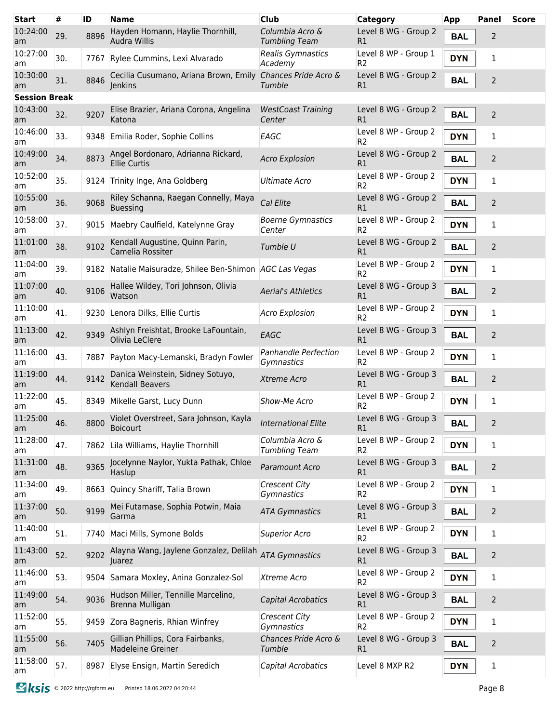| <b>Start</b>         | #   | ID   | Name                                                                               | <b>Club</b>                             | Category                               | <b>App</b> | Panel          | <b>Score</b> |
|----------------------|-----|------|------------------------------------------------------------------------------------|-----------------------------------------|----------------------------------------|------------|----------------|--------------|
| 10:24:00<br>am       | 29. | 8896 | Hayden Homann, Haylie Thornhill,<br>Audra Willis                                   | Columbia Acro &<br><b>Tumbling Team</b> | Level 8 WG - Group 2<br>R1             | <b>BAL</b> | 2              |              |
| 10:27:00<br>am       | 30. | 7767 | Rylee Cummins, Lexi Alvarado                                                       | <b>Realis Gymnastics</b><br>Academy     | Level 8 WP - Group 1<br>R <sub>2</sub> | <b>DYN</b> | 1              |              |
| 10:30:00<br>am       | 31. | 8846 | Cecilia Cusumano, Ariana Brown, Emily Chances Pride Acro &<br>Jenkins              | Tumble                                  | Level 8 WG - Group 2<br>R1             | <b>BAL</b> | 2              |              |
| <b>Session Break</b> |     |      |                                                                                    |                                         |                                        |            |                |              |
| 10:43:00<br>am       | 32. | 9207 | Elise Brazier, Ariana Corona, Angelina<br>Katona                                   | <b>WestCoast Training</b><br>Center     | Level 8 WG - Group 2<br>R1             | <b>BAL</b> | $\overline{2}$ |              |
| 10:46:00<br>am       | 33. |      | 9348 Emilia Roder, Sophie Collins                                                  | EAGC                                    | Level 8 WP - Group 2<br>R <sub>2</sub> | <b>DYN</b> | 1              |              |
| 10:49:00<br>am       | 34. | 8873 | Angel Bordonaro, Adrianna Rickard,<br><b>Ellie Curtis</b>                          | <b>Acro Explosion</b>                   | Level 8 WG - Group 2<br>R1             | <b>BAL</b> | 2              |              |
| 10:52:00<br>am       | 35. |      | 9124 Trinity Inge, Ana Goldberg                                                    | Ultimate Acro                           | Level 8 WP - Group 2<br>R <sub>2</sub> | <b>DYN</b> | 1              |              |
| 10:55:00<br>am       | 36. | 9068 | Riley Schanna, Raegan Connelly, Maya<br><b>Buessing</b>                            | Cal Elite                               | Level 8 WG - Group 2<br>R <sub>1</sub> | <b>BAL</b> | 2              |              |
| 10:58:00<br>am       | 37. |      | 9015 Maebry Caulfield, Katelynne Gray                                              | <b>Boerne Gymnastics</b><br>Center      | Level 8 WP - Group 2<br>R <sub>2</sub> | <b>DYN</b> | 1              |              |
| 11:01:00<br>am       | 38. | 9102 | Kendall Augustine, Quinn Parin,<br>Camelia Rossiter                                | Tumble U                                | Level 8 WG - Group 2<br>R <sub>1</sub> | <b>BAL</b> | $\overline{2}$ |              |
| 11:04:00<br>am       | 39. |      | 9182 Natalie Maisuradze, Shilee Ben-Shimon AGC Las Vegas                           |                                         | Level 8 WP - Group 2<br>R <sub>2</sub> | <b>DYN</b> | 1              |              |
| 11:07:00<br>am       | 40. | 9106 | Hallee Wildey, Tori Johnson, Olivia<br>Watson                                      | <b>Aerial's Athletics</b>               | Level 8 WG - Group 3<br>R <sub>1</sub> | <b>BAL</b> | $\overline{2}$ |              |
| 11:10:00<br>am       | 41. |      | 9230 Lenora Dilks, Ellie Curtis                                                    | <b>Acro Explosion</b>                   | Level 8 WP - Group 2<br>R <sub>2</sub> | <b>DYN</b> | 1              |              |
| 11:13:00<br>am       | 42. | 9349 | Ashlyn Freishtat, Brooke LaFountain,<br>Olivia LeClere                             | EAGC                                    | Level 8 WG - Group 3<br>R1             | <b>BAL</b> | 2              |              |
| 11:16:00<br>am       | 43. | 7887 | Payton Macy-Lemanski, Bradyn Fowler                                                | Panhandle Perfection<br>Gymnastics      | Level 8 WP - Group 2<br>R <sub>2</sub> | <b>DYN</b> | 1              |              |
| 11:19:00<br>am       | 44. | 9142 | Danica Weinstein, Sidney Sotuyo,<br>Kendall Beavers                                | Xtreme Acro                             | Level 8 WG - Group 3<br>R1             | <b>BAL</b> | 2              |              |
| 11:22:00<br>am       | 45. | 8349 | Mikelle Garst, Lucy Dunn                                                           | Show-Me Acro                            | Level 8 WP - Group 2<br>R <sub>2</sub> | <b>DYN</b> | 1              |              |
| 11:25:00<br>am       | 46. |      | 8800 Violet Overstreet, Sara Johnson, Kayla International Elite<br><b>Boicourt</b> |                                         | Level 8 WG - Group 3<br>R1             | <b>BAL</b> | $\overline{2}$ |              |
| 11:28:00<br>am       | 47. | 7862 | Lila Williams, Haylie Thornhill                                                    | Columbia Acro &<br><b>Tumbling Team</b> | Level 8 WP - Group 2<br>R <sub>2</sub> | <b>DYN</b> | 1              |              |
| 11:31:00<br>am       | 48. | 9365 | Jocelynne Naylor, Yukta Pathak, Chloe<br>Haslup                                    | Paramount Acro                          | Level 8 WG - Group 3<br>R1             | <b>BAL</b> | $\overline{2}$ |              |
| 11:34:00<br>am       | 49. | 8663 | Quincy Shariff, Talia Brown                                                        | <b>Crescent City</b><br>Gymnastics      | Level 8 WP - Group 2<br>R <sub>2</sub> | <b>DYN</b> | 1              |              |
| 11:37:00<br>am       | 50. | 9199 | Mei Futamase, Sophia Potwin, Maia<br>Garma                                         | <b>ATA Gymnastics</b>                   | Level 8 WG - Group 3<br>R1             | <b>BAL</b> | $\overline{2}$ |              |
| 11:40:00<br>am       | 51. | 7740 | Maci Mills, Symone Bolds                                                           | <b>Superior Acro</b>                    | Level 8 WP - Group 2<br>R <sub>2</sub> | <b>DYN</b> | 1              |              |
| 11:43:00<br>am       | 52. | 9202 | Alayna Wang, Jaylene Gonzalez, Delilah<br>Juarez                                   | <b>ATA Gymnastics</b>                   | Level 8 WG - Group 3<br>R1             | <b>BAL</b> | 2              |              |
| 11:46:00<br>am       | 53. |      | 9504 Samara Moxley, Anina Gonzalez-Sol                                             | Xtreme Acro                             | Level 8 WP - Group 2<br>R2             | <b>DYN</b> | 1              |              |
| 11:49:00<br>am       | 54. | 9036 | Hudson Miller, Tennille Marcelino,<br>Brenna Mulligan                              | Capital Acrobatics                      | Level 8 WG - Group 3<br>R1             | <b>BAL</b> | 2              |              |
| 11:52:00<br>am       | 55. | 9459 | Zora Bagneris, Rhian Winfrey                                                       | <b>Crescent City</b><br>Gymnastics      | Level 8 WP - Group 2<br>R2             | <b>DYN</b> | 1              |              |
| 11:55:00<br>am       | 56. | 7405 | Gillian Phillips, Cora Fairbanks,<br>Madeleine Greiner                             | Chances Pride Acro &<br>Tumble          | Level 8 WG - Group 3<br>R1             | <b>BAL</b> | 2              |              |
| 11:58:00<br>am       | 57. | 8987 | Elyse Ensign, Martin Seredich                                                      | Capital Acrobatics                      | Level 8 MXP R2                         | <b>DYN</b> | 1              |              |
|                      |     |      |                                                                                    |                                         |                                        |            |                |              |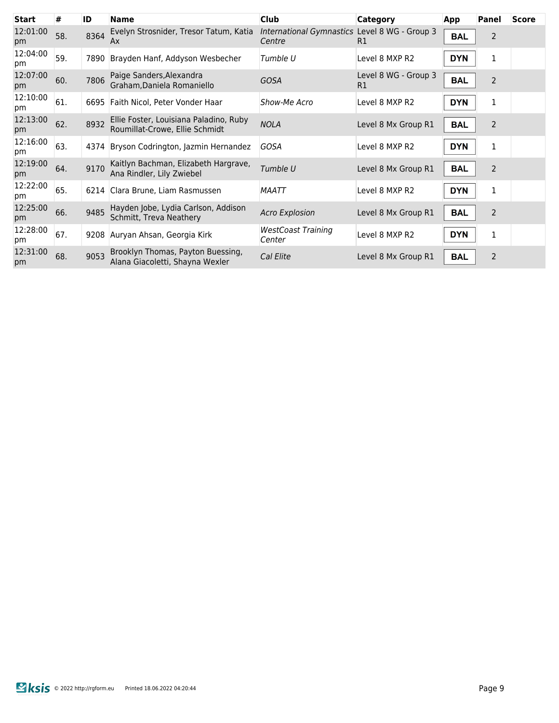| <b>Start</b>   | #   | ID   | <b>Name</b>                                                              | <b>Club</b>                                             | <b>Category</b>            | App        | Panel          | <b>Score</b> |
|----------------|-----|------|--------------------------------------------------------------------------|---------------------------------------------------------|----------------------------|------------|----------------|--------------|
| 12:01:00<br>pm | 58. | 8364 | Evelyn Strosnider, Tresor Tatum, Katia<br>Ax                             | International Gymnastics Level 8 WG - Group 3<br>Centre | R1                         | <b>BAL</b> | $\overline{2}$ |              |
| 12:04:00<br>pm | 59. | 7890 | Brayden Hanf, Addyson Wesbecher                                          | Tumble U                                                | Level 8 MXP R2             | <b>DYN</b> | 1              |              |
| 12:07:00<br>pm | 60. | 7806 | Paige Sanders, Alexandra<br>Graham, Daniela Romaniello                   | <b>GOSA</b>                                             | Level 8 WG - Group 3<br>R1 | <b>BAL</b> | 2              |              |
| 12:10:00<br>pm | 61. |      | 6695 Faith Nicol, Peter Vonder Haar                                      | Show-Me Acro                                            | Level 8 MXP R2             | <b>DYN</b> | 1              |              |
| 12:13:00<br>pm | 62. | 8932 | Ellie Foster, Louisiana Paladino, Ruby<br>Roumillat-Crowe, Ellie Schmidt | <b>NOLA</b>                                             | Level 8 Mx Group R1        | <b>BAL</b> | 2              |              |
| 12:16:00<br>pm | 63. | 4374 | Bryson Codrington, Jazmin Hernandez                                      | <b>GOSA</b>                                             | Level 8 MXP R2             | <b>DYN</b> | 1              |              |
| 12:19:00<br>pm | 64. | 9170 | Kaitlyn Bachman, Elizabeth Hargrave,<br>Ana Rindler, Lily Zwiebel        | Tumble U                                                | Level 8 Mx Group R1        | <b>BAL</b> | 2              |              |
| 12:22:00<br>pm | 65. |      | 6214 Clara Brune, Liam Rasmussen                                         | MAATT                                                   | Level 8 MXP R2             | <b>DYN</b> | 1              |              |
| 12:25:00<br>pm | 66. | 9485 | Hayden Jobe, Lydia Carlson, Addison<br>Schmitt, Treva Neathery           | <b>Acro Explosion</b>                                   | Level 8 Mx Group R1        | <b>BAL</b> | 2              |              |
| 12:28:00<br>pm | 67. | 9208 | Auryan Ahsan, Georgia Kirk                                               | <b>WestCoast Training</b><br>Center                     | Level 8 MXP R2             | <b>DYN</b> | $\mathbf{1}$   |              |
| 12:31:00<br>pm | 68. | 9053 | Brooklyn Thomas, Payton Buessing,<br>Alana Giacoletti, Shayna Wexler     | Cal Elite                                               | Level 8 Mx Group R1        | <b>BAL</b> | 2              |              |
|                |     |      |                                                                          |                                                         |                            |            |                |              |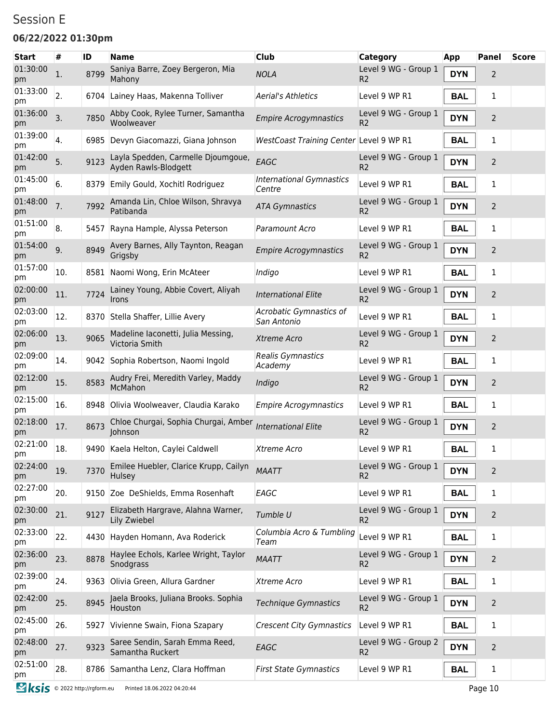### Session E

### **06/22/2022 01:30pm**

| <b>Start</b>                  | #              | ID   | <b>Name</b>                                                | <b>Club</b>                               | <b>Category</b>                        | App        | Panel          | <b>Score</b> |
|-------------------------------|----------------|------|------------------------------------------------------------|-------------------------------------------|----------------------------------------|------------|----------------|--------------|
| 01:30:00<br>pm                | $\mathbf{1}$ . | 8799 | Saniya Barre, Zoey Bergeron, Mia<br>Mahony                 | <b>NOLA</b>                               | Level 9 WG - Group 1<br>R <sub>2</sub> | <b>DYN</b> | 2              |              |
| 01:33:00<br>pm                | 2.             |      | 6704 Lainey Haas, Makenna Tolliver                         | <b>Aerial's Athletics</b>                 | Level 9 WP R1                          | <b>BAL</b> | 1              |              |
| 01:36:00<br>pm                | 3.             | 7850 | Abby Cook, Rylee Turner, Samantha<br>Woolweaver            | <b>Empire Acrogymnastics</b>              | Level 9 WG - Group 1<br>R <sub>2</sub> | <b>DYN</b> | $\overline{2}$ |              |
| 01:39:00<br>pm                | 4.             | 6985 | Devyn Giacomazzi, Giana Johnson                            | WestCoast Training Center Level 9 WP R1   |                                        | <b>BAL</b> | 1              |              |
| 01:42:00<br>pm                | 5.             | 9123 | Layla Spedden, Carmelle Djoumgoue,<br>Ayden Rawls-Blodgett | EAGC                                      | Level 9 WG - Group 1<br>R <sub>2</sub> | <b>DYN</b> | 2              |              |
| 01:45:00<br>pm                | 6.             |      | 8379 Emily Gould, Xochitl Rodriguez                        | <b>International Gymnastics</b><br>Centre | Level 9 WP R1                          | <b>BAL</b> | 1              |              |
| 01:48:00<br>pm                | 7.             | 7992 | Amanda Lin, Chloe Wilson, Shravya<br>Patibanda             | <b>ATA Gymnastics</b>                     | Level 9 WG - Group 1<br>R <sub>2</sub> | <b>DYN</b> | $\overline{2}$ |              |
| 01:51:00<br>pm                | 8.             | 5457 | Rayna Hample, Alyssa Peterson                              | Paramount Acro                            | Level 9 WP R1                          | <b>BAL</b> | 1              |              |
| 01:54:00<br>pm                | 9.             | 8949 | Avery Barnes, Ally Taynton, Reagan<br>Grigsby              | <b>Empire Acrogymnastics</b>              | Level 9 WG - Group 1<br>R <sub>2</sub> | <b>DYN</b> | 2              |              |
| 01:57:00<br>pm                | 10.            | 8581 | Naomi Wong, Erin McAteer                                   | Indigo                                    | Level 9 WP R1                          | <b>BAL</b> | 1              |              |
| 02:00:00<br>pm                | 11.            | 7724 | Lainey Young, Abbie Covert, Aliyah<br><b>Irons</b>         | <b>International Elite</b>                | Level 9 WG - Group 1<br>R <sub>2</sub> | <b>DYN</b> | 2              |              |
| 02:03:00<br>pm                | 12.            | 8370 | Stella Shaffer, Lillie Avery                               | Acrobatic Gymnastics of<br>San Antonio    | Level 9 WP R1                          | <b>BAL</b> | 1              |              |
| 02:06:00<br>pm                | 13.            | 9065 | Madeline Iaconetti, Julia Messing,<br>Victoria Smith       | Xtreme Acro                               | Level 9 WG - Group 1<br>R <sub>2</sub> | <b>DYN</b> | $\overline{2}$ |              |
| 02:09:00<br>pm                | 14.            |      | 9042 Sophia Robertson, Naomi Ingold                        | Realis Gymnastics<br>Academy              | Level 9 WP R1                          | <b>BAL</b> | 1              |              |
| 02:12:00<br>pm                | 15.            | 8583 | Audry Frei, Meredith Varley, Maddy<br>McMahon              | Indigo                                    | Level 9 WG - Group 1<br>R <sub>2</sub> | <b>DYN</b> | $\overline{2}$ |              |
| 02:15:00<br>pm                | 16.            | 8948 | Olivia Woolweaver, Claudia Karako                          | <b>Empire Acrogymnastics</b>              | Level 9 WP R1                          | <b>BAL</b> | 1              |              |
| 02:18:00<br>pm                | 17.            | 8673 | Chloe Churgai, Sophia Churgai, Amber<br>Johnson            | <b>International Elite</b>                | Level 9 WG - Group 1<br>R <sub>2</sub> | <b>DYN</b> | $\overline{2}$ |              |
| 02:21:00<br>pm                | 18.            |      | 9490 Kaela Helton, Caylei Caldwell                         | Xtreme Acro                               | Level 9 WP R1                          | <b>BAL</b> | 1              |              |
| 02:24:00<br>pm                | 19.            | 7370 | Emilee Huebler, Clarice Krupp, Cailyn<br>Hulsey            | <b>MAATT</b>                              | Level 9 WG - Group 1<br>R <sub>2</sub> | <b>DYN</b> | $\overline{2}$ |              |
| 02:27:00<br>pm                | 20.            |      | 9150 Zoe DeShields, Emma Rosenhaft                         | EAGC                                      | Level 9 WP R1                          | <b>BAL</b> | 1              |              |
| 02:30:00<br>pm                | 21.            | 9127 | Elizabeth Hargrave, Alahna Warner,<br>Lily Zwiebel         | Tumble U                                  | Level 9 WG - Group 1<br>R <sub>2</sub> | <b>DYN</b> | $\overline{2}$ |              |
| 02:33:00<br>pm                | 22.            |      | 4430 Hayden Homann, Ava Roderick                           | Columbia Acro & Tumbling<br>Team          | Level 9 WP R1                          | <b>BAL</b> | $\mathbf 1$    |              |
| 02:36:00<br>pm                | 23.            | 8878 | Haylee Echols, Karlee Wright, Taylor<br>Snodgrass          | <b>MAATT</b>                              | Level 9 WG - Group 1<br>R <sub>2</sub> | <b>DYN</b> | $\overline{2}$ |              |
| 02:39:00<br>pm                | 24.            |      | 9363 Olivia Green, Allura Gardner                          | Xtreme Acro                               | Level 9 WP R1                          | <b>BAL</b> | $\mathbf 1$    |              |
| 02:42:00<br>pm                | 25.            | 8945 | Jaela Brooks, Juliana Brooks. Sophia<br>Houston            | <b>Technique Gymnastics</b>               | Level 9 WG - Group 1<br>R <sub>2</sub> | <b>DYN</b> | $\overline{2}$ |              |
| 02:45:00<br>pm                | 26.            |      | 5927 Vivienne Swain, Fiona Szapary                         | <b>Crescent City Gymnastics</b>           | Level 9 WP R1                          | <b>BAL</b> | 1              |              |
| 02:48:00<br>pm                | 27.            | 9323 | Saree Sendin, Sarah Emma Reed,<br>Samantha Ruckert         | EAGC                                      | Level 9 WG - Group 2<br>R <sub>2</sub> | <b>DYN</b> | $\overline{2}$ |              |
| 02:51:00<br>pm                | 28.            |      | 8786 Samantha Lenz, Clara Hoffman                          | <b>First State Gymnastics</b>             | Level 9 WP R1                          | <b>BAL</b> | 1              |              |
| Sksis © 2022 http://rgform.eu |                |      | Printed 18.06.2022 04:20:44                                |                                           |                                        |            | Page 10        |              |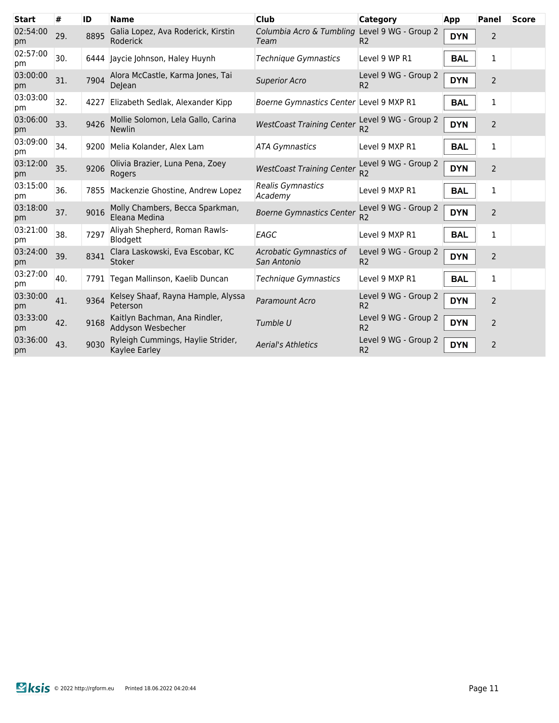| <b>Start</b>   | #   | ID   | <b>Name</b>                                         | <b>Club</b>                                           | <b>Category</b>                        | App        | Panel          | <b>Score</b> |
|----------------|-----|------|-----------------------------------------------------|-------------------------------------------------------|----------------------------------------|------------|----------------|--------------|
| 02:54:00<br>pm | 29. | 8895 | Galia Lopez, Ava Roderick, Kirstin<br>Roderick      | Columbia Acro & Tumbling Level 9 WG - Group 2<br>Team | R <sub>2</sub>                         | <b>DYN</b> | $\overline{2}$ |              |
| 02:57:00<br>pm | 30. |      | 6444 Jaycie Johnson, Haley Huynh                    | <b>Technique Gymnastics</b>                           | Level 9 WP R1                          | <b>BAL</b> | 1              |              |
| 03:00:00<br>pm | 31. | 7904 | Alora McCastle, Karma Jones, Tai<br>DeJean          | <b>Superior Acro</b>                                  | Level 9 WG - Group 2<br>R <sub>2</sub> | <b>DYN</b> | $\overline{2}$ |              |
| 03:03:00<br>pm | 32. | 4227 | Elizabeth Sedlak, Alexander Kipp                    | Boerne Gymnastics Center Level 9 MXP R1               |                                        | <b>BAL</b> | 1              |              |
| 03:06:00<br>pm | 33. | 9426 | Mollie Solomon, Lela Gallo, Carina<br><b>Newlin</b> | <b>WestCoast Training Center</b>                      | Level 9 WG - Group 2<br>R <sub>2</sub> | <b>DYN</b> | $\overline{2}$ |              |
| 03:09:00<br>pm | 34. | 9200 | Melia Kolander, Alex Lam                            | <b>ATA Gymnastics</b>                                 | Level 9 MXP R1                         | <b>BAL</b> | 1              |              |
| 03:12:00<br>pm | 35. | 9206 | Olivia Brazier, Luna Pena, Zoey<br>Rogers           | <b>WestCoast Training Center</b>                      | Level 9 WG - Group 2<br>R <sub>2</sub> | <b>DYN</b> | 2              |              |
| 03:15:00<br>pm | 36. | 7855 | Mackenzie Ghostine, Andrew Lopez                    | <b>Realis Gymnastics</b><br>Academy                   | Level 9 MXP R1                         | <b>BAL</b> | 1              |              |
| 03:18:00<br>pm | 37. | 9016 | Molly Chambers, Becca Sparkman,<br>Eleana Medina    | <b>Boerne Gymnastics Center</b>                       | Level 9 WG - Group 2<br>R <sub>2</sub> | <b>DYN</b> | 2              |              |
| 03:21:00<br>pm | 38. | 7297 | Aliyah Shepherd, Roman Rawls-<br>Blodgett           | EAGC                                                  | Level 9 MXP R1                         | <b>BAL</b> | 1              |              |
| 03:24:00<br>pm | 39. | 8341 | Clara Laskowski, Eva Escobar, KC<br>Stoker          | Acrobatic Gymnastics of<br>San Antonio                | Level 9 WG - Group 2<br>R <sub>2</sub> | <b>DYN</b> | $\overline{2}$ |              |
| 03:27:00<br>pm | 40. |      | 7791 Tegan Mallinson, Kaelib Duncan                 | <b>Technique Gymnastics</b>                           | Level 9 MXP R1                         | <b>BAL</b> | 1              |              |
| 03:30:00<br>pm | 41. | 9364 | Kelsey Shaaf, Rayna Hample, Alyssa<br>Peterson      | Paramount Acro                                        | Level 9 WG - Group 2<br>R <sub>2</sub> | <b>DYN</b> | 2              |              |
| 03:33:00<br>pm | 42. | 9168 | Kaitlyn Bachman, Ana Rindler,<br>Addyson Wesbecher  | Tumble U                                              | Level 9 WG - Group 2<br>R <sub>2</sub> | <b>DYN</b> | $\overline{2}$ |              |
| 03:36:00<br>pm | 43. | 9030 | Ryleigh Cummings, Haylie Strider,<br>Kaylee Earley  | <b>Aerial's Athletics</b>                             | Level 9 WG - Group 2<br>R <sub>2</sub> | <b>DYN</b> | 2              |              |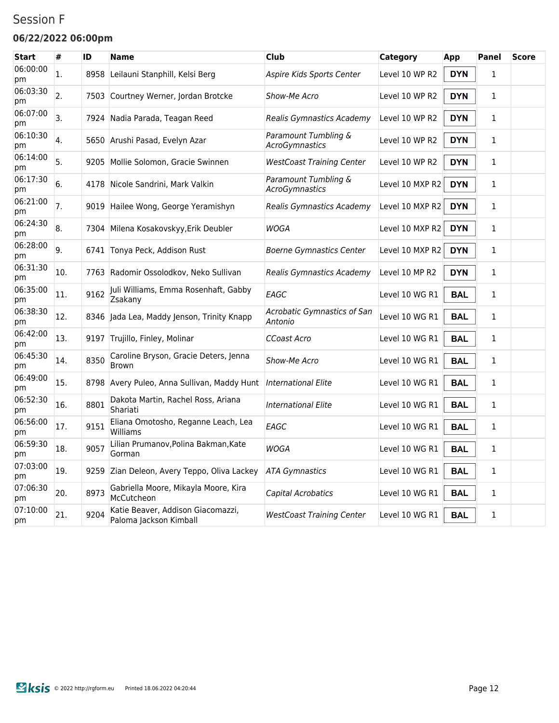### Session F

#### **06/22/2022 06:00pm**

| <b>Start</b>   | #   | ID   | <b>Name</b>                                                 | <b>Club</b>                            | Category        | App        | <b>Panel</b> | <b>Score</b> |
|----------------|-----|------|-------------------------------------------------------------|----------------------------------------|-----------------|------------|--------------|--------------|
| 06:00:00<br>рm | 1.  | 8958 | Leilauni Stanphill, Kelsi Berg                              | Aspire Kids Sports Center              | Level 10 WP R2  | <b>DYN</b> | $\mathbf{1}$ |              |
| 06:03:30<br>pm | 2.  |      | 7503 Courtney Werner, Jordan Brotcke                        | Show-Me Acro                           | Level 10 WP R2  | <b>DYN</b> | 1            |              |
| 06:07:00<br>pm | 3.  |      | 7924 Nadia Parada, Teagan Reed                              | Realis Gymnastics Academy              | Level 10 WP R2  | <b>DYN</b> | 1            |              |
| 06:10:30<br>pm | 4.  |      | 5650 Arushi Pasad, Evelyn Azar                              | Paramount Tumbling &<br>AcroGymnastics | Level 10 WP R2  | <b>DYN</b> | $\mathbf{1}$ |              |
| 06:14:00<br>pm | 5.  | 9205 | Mollie Solomon, Gracie Swinnen                              | <b>WestCoast Training Center</b>       | Level 10 WP R2  | <b>DYN</b> | 1            |              |
| 06:17:30<br>pm | 6.  |      | 4178 Nicole Sandrini, Mark Valkin                           | Paramount Tumbling &<br>AcroGymnastics | Level 10 MXP R2 | <b>DYN</b> | $\mathbf{1}$ |              |
| 06:21:00<br>pm | 7.  |      | 9019 Hailee Wong, George Yeramishyn                         | Realis Gymnastics Academy              | Level 10 MXP R2 | <b>DYN</b> | 1            |              |
| 06:24:30<br>pm | 8.  |      | 7304 Milena Kosakovskyy, Erik Deubler                       | WOGA                                   | Level 10 MXP R2 | <b>DYN</b> | $\mathbf{1}$ |              |
| 06:28:00<br>pm | 9.  |      | 6741 Tonya Peck, Addison Rust                               | <b>Boerne Gymnastics Center</b>        | Level 10 MXP R2 | <b>DYN</b> | 1            |              |
| 06:31:30<br>pm | 10. |      | 7763 Radomir Ossolodkov, Neko Sullivan                      | Realis Gymnastics Academy              | Level 10 MP R2  | <b>DYN</b> | $\mathbf{1}$ |              |
| 06:35:00<br>pm | 11. | 9162 | Juli Williams, Emma Rosenhaft, Gabby<br>Zsakany             | EAGC                                   | Level 10 WG R1  | <b>BAL</b> | $\mathbf{1}$ |              |
| 06:38:30<br>рm | 12. |      | 8346 Jada Lea, Maddy Jenson, Trinity Knapp                  | Acrobatic Gymnastics of San<br>Antonio | Level 10 WG R1  | <b>BAL</b> | $\mathbf{1}$ |              |
| 06:42:00<br>pm | 13. |      | 9197 Trujillo, Finley, Molinar                              | <b>CCoast Acro</b>                     | Level 10 WG R1  | <b>BAL</b> | 1            |              |
| 06:45:30<br>рm | 14. | 8350 | Caroline Bryson, Gracie Deters, Jenna<br><b>Brown</b>       | Show-Me Acro                           | Level 10 WG R1  | <b>BAL</b> | 1            |              |
| 06:49:00<br>pm | 15. |      | 8798 Avery Puleo, Anna Sullivan, Maddy Hunt                 | <b>International Elite</b>             | Level 10 WG R1  | <b>BAL</b> | 1            |              |
| 06:52:30<br>рm | 16. | 8801 | Dakota Martin, Rachel Ross, Ariana<br>Shariati              | <b>International Elite</b>             | Level 10 WG R1  | <b>BAL</b> | 1            |              |
| 06:56:00<br>pm | 17. | 9151 | Eliana Omotosho, Reganne Leach, Lea<br>Williams             | EAGC                                   | Level 10 WG R1  | <b>BAL</b> | $\mathbf{1}$ |              |
| 06:59:30<br>pm | 18. | 9057 | Lilian Prumanov, Polina Bakman, Kate<br>Gorman              | WOGA                                   | Level 10 WG R1  | <b>BAL</b> | 1            |              |
| 07:03:00<br>pm | 19. |      | 9259 Zian Deleon, Avery Teppo, Oliva Lackey                 | <b>ATA Gymnastics</b>                  | Level 10 WG R1  | <b>BAL</b> | 1            |              |
| 07:06:30<br>pm | 20. | 8973 | Gabriella Moore, Mikayla Moore, Kira<br>McCutcheon          | Capital Acrobatics                     | Level 10 WG R1  | <b>BAL</b> | $\mathbf{1}$ |              |
| 07:10:00<br>pm | 21. | 9204 | Katie Beaver, Addison Giacomazzi,<br>Paloma Jackson Kimball | <b>WestCoast Training Center</b>       | Level 10 WG R1  | <b>BAL</b> | $\mathbf{1}$ |              |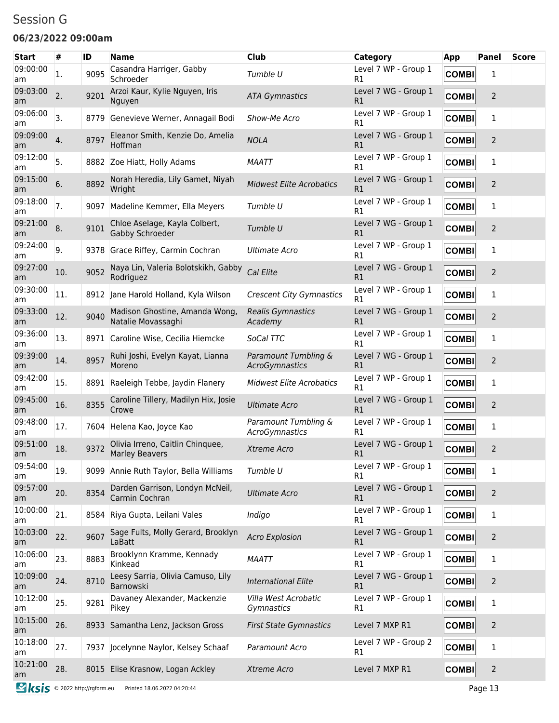### Session G

#### **06/23/2022 09:00am**

| <b>Start</b>   | #   | ID   | Name                                                      | <b>Club</b>                               | Category                   | <b>App</b>   | <b>Panel</b>   | <b>Score</b> |
|----------------|-----|------|-----------------------------------------------------------|-------------------------------------------|----------------------------|--------------|----------------|--------------|
| 09:00:00<br>am | 1.  | 9095 | Casandra Harriger, Gabby<br>Schroeder                     | Tumble U                                  | Level 7 WP - Group 1<br>R1 | <b>COMBI</b> | 1              |              |
| 09:03:00<br>am | 2.  | 9201 | Arzoi Kaur, Kylie Nguyen, Iris<br>Nguyen                  | <b>ATA Gymnastics</b>                     | Level 7 WG - Group 1<br>R1 | <b>COMBI</b> | $\overline{2}$ |              |
| 09:06:00<br>am | 3.  |      | 8779 Genevieve Werner, Annagail Bodi                      | Show-Me Acro                              | Level 7 WP - Group 1<br>R1 | <b>COMBI</b> | 1              |              |
| 09:09:00<br>am | 4.  | 8797 | Eleanor Smith, Kenzie Do, Amelia<br>Hoffman               | <b>NOLA</b>                               | Level 7 WG - Group 1<br>R1 | <b>COMBI</b> | $\overline{2}$ |              |
| 09:12:00<br>am | 5.  |      | 8882 Zoe Hiatt, Holly Adams                               | <b>MAATT</b>                              | Level 7 WP - Group 1<br>R1 | <b>COMBI</b> | 1              |              |
| 09:15:00<br>am | 6.  | 8892 | Norah Heredia, Lily Gamet, Niyah<br>Wright                | <b>Midwest Elite Acrobatics</b>           | Level 7 WG - Group 1<br>R1 | <b>COMBI</b> | $\overline{2}$ |              |
| 09:18:00<br>am | 7.  | 9097 | Madeline Kemmer, Ella Meyers                              | Tumble U                                  | Level 7 WP - Group 1<br>R1 | <b>COMBI</b> | 1              |              |
| 09:21:00<br>am | 8.  | 9101 | Chloe Aselage, Kayla Colbert,<br>Gabby Schroeder          | Tumble U                                  | Level 7 WG - Group 1<br>R1 | <b>COMBI</b> | $\overline{2}$ |              |
| 09:24:00<br>am | 9.  |      | 9378 Grace Riffey, Carmin Cochran                         | <b>Ultimate Acro</b>                      | Level 7 WP - Group 1<br>R1 | <b>COMBI</b> | 1              |              |
| 09:27:00<br>am | 10. | 9052 | Naya Lin, Valeria Bolotskikh, Gabby<br>Rodriguez          | Cal Elite                                 | Level 7 WG - Group 1<br>R1 | <b>COMBI</b> | $\overline{2}$ |              |
| 09:30:00<br>am | 11. |      | 8912 Jane Harold Holland, Kyla Wilson                     | <b>Crescent City Gymnastics</b>           | Level 7 WP - Group 1<br>R1 | <b>COMBI</b> | 1              |              |
| 09:33:00<br>am | 12. | 9040 | Madison Ghostine, Amanda Wong,<br>Natalie Movassaghi      | <b>Realis Gymnastics</b><br>Academy       | Level 7 WG - Group 1<br>R1 | <b>COMBI</b> | $\overline{2}$ |              |
| 09:36:00<br>am | 13. |      | 8971 Caroline Wise, Cecilia Hiemcke                       | SoCal TTC                                 | Level 7 WP - Group 1<br>R1 | <b>COMBI</b> | 1              |              |
| 09:39:00<br>am | 14. | 8957 | Ruhi Joshi, Evelyn Kayat, Lianna<br>Moreno                | Paramount Tumbling &<br>AcroGymnastics    | Level 7 WG - Group 1<br>R1 | <b>COMBI</b> | $\overline{2}$ |              |
| 09:42:00<br>am | 15. |      | 8891 Raeleigh Tebbe, Jaydin Flanery                       | <b>Midwest Elite Acrobatics</b>           | Level 7 WP - Group 1<br>R1 | <b>COMBI</b> | 1              |              |
| 09:45:00<br>am | 16. | 8355 | Caroline Tillery, Madilyn Hix, Josie<br>Crowe             | <b>Ultimate Acro</b>                      | Level 7 WG - Group 1<br>R1 | <b>COMBI</b> | $\overline{2}$ |              |
| 09:48:00<br>am | 17. |      | 7604 Helena Kao, Joyce Kao                                | Paramount Tumbling &<br>AcroGymnastics    | Level 7 WP - Group 1<br>R1 | <b>COMBI</b> | 1              |              |
| 09:51:00<br>am | 18. | 9372 | Olivia Irreno, Caitlin Chinquee,<br><b>Marley Beavers</b> | Xtreme Acro                               | Level 7 WG - Group 1<br>R1 | <b>COMBI</b> | $\overline{2}$ |              |
| 09:54:00<br>am | 19. |      | 9099 Annie Ruth Taylor, Bella Williams                    | Tumble U                                  | Level 7 WP - Group 1<br>R1 | <b>COMBI</b> | 1              |              |
| 09:57:00<br>am | 20. | 8354 | Darden Garrison, Londyn McNeil,<br>Carmin Cochran         | <b>Ultimate Acro</b>                      | Level 7 WG - Group 1<br>R1 | <b>COMBI</b> | $\overline{2}$ |              |
| 10:00:00<br>am | 21. |      | 8584 Riya Gupta, Leilani Vales                            | Indigo                                    | Level 7 WP - Group 1<br>R1 | <b>COMBI</b> | 1              |              |
| 10:03:00<br>am | 22. | 9607 | Sage Fults, Molly Gerard, Brooklyn<br>LaBatt              | <b>Acro Explosion</b>                     | Level 7 WG - Group 1<br>R1 | <b>COMBI</b> | $\overline{2}$ |              |
| 10:06:00<br>am | 23. | 8883 | Brooklynn Kramme, Kennady<br>Kinkead                      | <b>MAATT</b>                              | Level 7 WP - Group 1<br>R1 | <b>COMBI</b> | 1              |              |
| 10:09:00<br>am | 24. | 8710 | Leesy Sarria, Olivia Camuso, Lily<br>Barnowski            | <b>International Elite</b>                | Level 7 WG - Group 1<br>R1 | <b>COMBI</b> | $\overline{2}$ |              |
| 10:12:00<br>am | 25. | 9281 | Davaney Alexander, Mackenzie<br>Pikey                     | Villa West Acrobatic<br><i>Gymnastics</i> | Level 7 WP - Group 1<br>R1 | <b>COMBI</b> | 1              |              |
| 10:15:00<br>am | 26. |      | 8933 Samantha Lenz, Jackson Gross                         | <b>First State Gymnastics</b>             | Level 7 MXP R1             | <b>COMBI</b> | $\overline{2}$ |              |
| 10:18:00<br>am | 27. |      | 7937 Jocelynne Naylor, Kelsey Schaaf                      | Paramount Acro                            | Level 7 WP - Group 2<br>R1 | <b>COMBI</b> | 1              |              |
| 10:21:00<br>am | 28. |      | 8015 Elise Krasnow, Logan Ackley                          | Xtreme Acro                               | Level 7 MXP R1             | <b>COMBI</b> | $\overline{2}$ |              |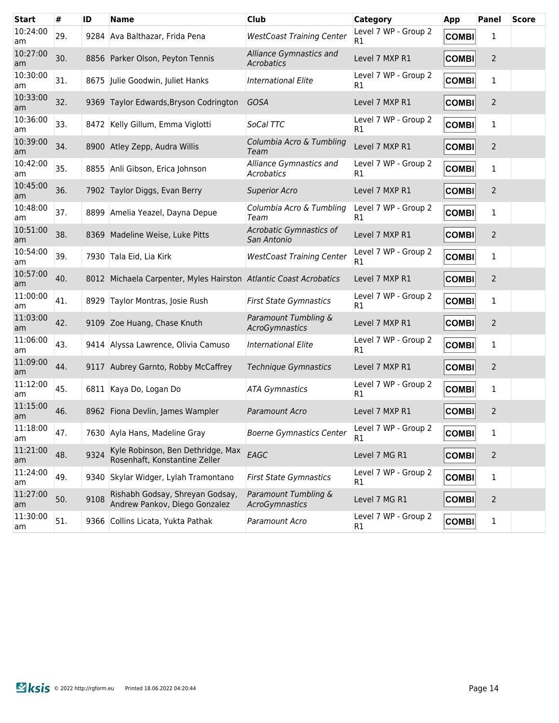| <b>Start</b>   | #   | ID   | <b>Name</b>                                                        | <b>Club</b>                                  | <b>Category</b>                        | App          | Panel          | <b>Score</b> |
|----------------|-----|------|--------------------------------------------------------------------|----------------------------------------------|----------------------------------------|--------------|----------------|--------------|
| 10:24:00<br>am | 29. | 9284 | Ava Balthazar, Frida Pena                                          | <b>WestCoast Training Center</b>             | Level 7 WP - Group 2<br>R1             | <b>COMBI</b> | 1              |              |
| 10:27:00<br>am | 30. |      | 8856 Parker Olson, Peyton Tennis                                   | Alliance Gymnastics and<br><b>Acrobatics</b> | Level 7 MXP R1                         | <b>COMBI</b> | 2              |              |
| 10:30:00<br>am | 31. |      | 8675 Julie Goodwin, Juliet Hanks                                   | <b>International Elite</b>                   | Level 7 WP - Group 2<br>R <sub>1</sub> | <b>COMBI</b> | 1              |              |
| 10:33:00<br>am | 32. |      | 9369 Taylor Edwards, Bryson Codrington                             | <b>GOSA</b>                                  | Level 7 MXP R1                         | <b>COMBI</b> | 2              |              |
| 10:36:00<br>am | 33. |      | 8472 Kelly Gillum, Emma Viglotti                                   | SoCal TTC                                    | Level 7 WP - Group 2<br>R <sub>1</sub> | <b>COMBI</b> | 1              |              |
| 10:39:00<br>am | 34. |      | 8900 Atley Zepp, Audra Willis                                      | Columbia Acro & Tumbling<br>Team             | Level 7 MXP R1                         | <b>COMBI</b> | $\overline{2}$ |              |
| 10:42:00<br>am | 35. |      | 8855 Anli Gibson, Erica Johnson                                    | Alliance Gymnastics and<br>Acrobatics        | Level 7 WP - Group 2<br>R <sub>1</sub> | <b>COMBI</b> | 1              |              |
| 10:45:00<br>am | 36. |      | 7902 Taylor Diggs, Evan Berry                                      | <b>Superior Acro</b>                         | Level 7 MXP R1                         | <b>COMBI</b> | $\overline{2}$ |              |
| 10:48:00<br>am | 37. | 8899 | Amelia Yeazel, Dayna Depue                                         | Columbia Acro & Tumbling<br>Team             | Level 7 WP - Group 2<br>R <sub>1</sub> | <b>COMBI</b> | 1              |              |
| 10:51:00<br>am | 38. |      | 8369 Madeline Weise, Luke Pitts                                    | Acrobatic Gymnastics of<br>San Antonio       | Level 7 MXP R1                         | <b>COMBI</b> | 2              |              |
| 10:54:00<br>am | 39. |      | 7930 Tala Eid, Lia Kirk                                            | <b>WestCoast Training Center</b>             | Level 7 WP - Group 2<br>R1             | <b>COMBI</b> | 1              |              |
| 10:57:00<br>am | 40. |      | 8012 Michaela Carpenter, Myles Hairston Atlantic Coast Acrobatics  |                                              | Level 7 MXP R1                         | <b>COMBI</b> | $\overline{2}$ |              |
| 11:00:00<br>am | 41. |      | 8929 Taylor Montras, Josie Rush                                    | <b>First State Gymnastics</b>                | Level 7 WP - Group 2<br>R1             | <b>COMBI</b> | 1              |              |
| 11:03:00<br>am | 42. |      | 9109 Zoe Huang, Chase Knuth                                        | Paramount Tumbling &<br>AcroGymnastics       | Level 7 MXP R1                         | <b>COMBI</b> | 2              |              |
| 11:06:00<br>am | 43. |      | 9414 Alyssa Lawrence, Olivia Camuso                                | International Elite                          | Level 7 WP - Group 2<br>R <sub>1</sub> | <b>COMBI</b> | 1              |              |
| 11:09:00<br>am | 44. |      | 9117 Aubrey Garnto, Robby McCaffrey                                | Technique Gymnastics                         | Level 7 MXP R1                         | <b>COMBI</b> | 2              |              |
| 11:12:00<br>am | 45. |      | 6811 Kaya Do, Logan Do                                             | <b>ATA Gymnastics</b>                        | Level 7 WP - Group 2<br>R <sub>1</sub> | <b>COMBI</b> | 1              |              |
| 11:15:00<br>am | 46. |      | 8962 Fiona Devlin, James Wampler                                   | Paramount Acro                               | Level 7 MXP R1                         | <b>COMBI</b> | 2              |              |
| 11:18:00<br>am | 47. |      | 7630 Ayla Hans, Madeline Gray                                      | <b>Boerne Gymnastics Center</b>              | Level 7 WP - Group 2<br>R1             | <b>COMBI</b> | 1              |              |
| 11:21:00<br>am | 48. | 9324 | Kyle Robinson, Ben Dethridge, Max<br>Rosenhaft, Konstantine Zeller | EAGC                                         | Level 7 MG R1                          | <b>COMBI</b> | 2              |              |
| 11:24:00<br>am | 49. |      | 9340 Skylar Widger, Lylah Tramontano                               | <b>First State Gymnastics</b>                | Level 7 WP - Group 2<br>R1             | <b>COMBI</b> | $\mathbf{1}$   |              |
| 11:27:00<br>am | 50. | 9108 | Rishabh Godsay, Shreyan Godsay,<br>Andrew Pankov, Diego Gonzalez   | Paramount Tumbling &<br>AcroGymnastics       | Level 7 MG R1                          | <b>COMBI</b> | $\overline{2}$ |              |
| 11:30:00<br>am | 51. |      | 9366 Collins Licata, Yukta Pathak                                  | Paramount Acro                               | Level 7 WP - Group 2<br>R <sub>1</sub> | <b>COMBI</b> | $\mathbf{1}$   |              |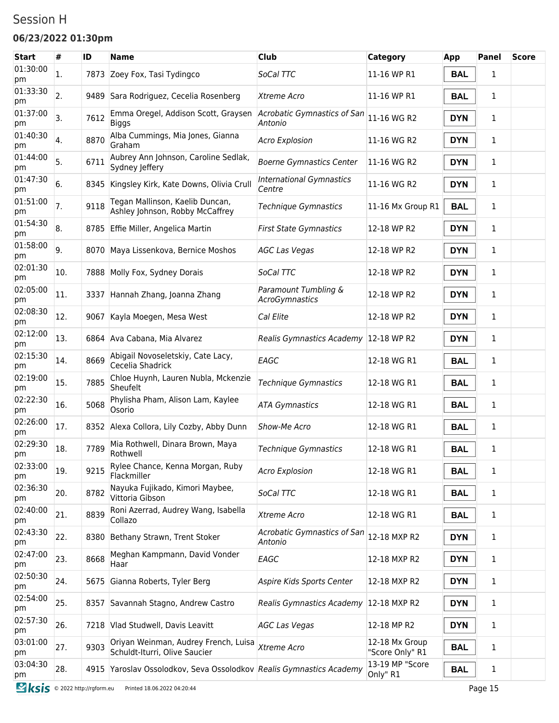### Session H

#### **06/23/2022 01:30pm**

| <b>Start</b>   | #   | ID   | <b>Name</b>                                                           | <b>Club</b>                                   | <b>Category</b>                   | App        | <b>Panel</b> | <b>Score</b> |
|----------------|-----|------|-----------------------------------------------------------------------|-----------------------------------------------|-----------------------------------|------------|--------------|--------------|
| 01:30:00<br>pm | 1.  |      | 7873 Zoey Fox, Tasi Tydingco                                          | SoCal TTC                                     | 11-16 WP R1                       | <b>BAL</b> | 1            |              |
| 01:33:30<br>pm | 2.  |      | 9489 Sara Rodriguez, Cecelia Rosenberg                                | Xtreme Acro                                   | 11-16 WP R1                       | <b>BAL</b> | 1            |              |
| 01:37:00<br>pm | 3.  | 7612 | Emma Oregel, Addison Scott, Graysen<br><b>Biggs</b>                   | Acrobatic Gymnastics of San<br>Antonio        | 11-16 WG R2                       | <b>DYN</b> | 1            |              |
| 01:40:30<br>pm | 4.  | 8870 | Alba Cummings, Mia Jones, Gianna<br>Graham                            | <b>Acro Explosion</b>                         | 11-16 WG R2                       | <b>DYN</b> | 1            |              |
| 01:44:00<br>pm | 5.  | 6711 | Aubrey Ann Johnson, Caroline Sedlak,<br>Sydney Jeffery                | <b>Boerne Gymnastics Center</b>               | 11-16 WG R2                       | <b>DYN</b> | 1            |              |
| 01:47:30<br>pm | 6.  |      | 8345 Kingsley Kirk, Kate Downs, Olivia Crull                          | <b>International Gymnastics</b><br>Centre     | 11-16 WG R2                       | <b>DYN</b> | 1            |              |
| 01:51:00<br>pm | 7.  | 9118 | Tegan Mallinson, Kaelib Duncan,<br>Ashley Johnson, Robby McCaffrey    | Technique Gymnastics                          | 11-16 Mx Group R1                 | <b>BAL</b> | 1            |              |
| 01:54:30<br>pm | 8.  |      | 8785 Effie Miller, Angelica Martin                                    | <b>First State Gymnastics</b>                 | 12-18 WP R2                       | <b>DYN</b> | 1            |              |
| 01:58:00<br>pm | 9.  | 8070 | Maya Lissenkova, Bernice Moshos                                       | <b>AGC Las Vegas</b>                          | 12-18 WP R2                       | <b>DYN</b> | 1            |              |
| 02:01:30<br>pm | 10. |      | 7888 Molly Fox, Sydney Dorais                                         | SoCal TTC                                     | 12-18 WP R2                       | <b>DYN</b> | 1            |              |
| 02:05:00<br>pm | 11. |      | 3337 Hannah Zhang, Joanna Zhang                                       | Paramount Tumbling &<br><b>AcroGymnastics</b> | 12-18 WP R2                       | <b>DYN</b> | 1            |              |
| 02:08:30<br>pm | 12. | 9067 | Kayla Moegen, Mesa West                                               | Cal Elite                                     | 12-18 WP R2                       | <b>DYN</b> | 1            |              |
| 02:12:00<br>pm | 13. |      | 6864 Ava Cabana, Mia Alvarez                                          | Realis Gymnastics Academy 12-18 WP R2         |                                   | <b>DYN</b> | 1            |              |
| 02:15:30<br>pm | 14. | 8669 | Abigail Novoseletskiy, Cate Lacy,<br>Cecelia Shadrick                 | EAGC                                          | 12-18 WG R1                       | <b>BAL</b> | 1            |              |
| 02:19:00<br>pm | 15. | 7885 | Chloe Huynh, Lauren Nubla, Mckenzie<br>Sheufelt                       | Technique Gymnastics                          | 12-18 WG R1                       | <b>BAL</b> | 1            |              |
| 02:22:30<br>pm | 16. | 5068 | Phylisha Pham, Alison Lam, Kaylee<br>Osorio                           | <b>ATA Gymnastics</b>                         | 12-18 WG R1                       | <b>BAL</b> | 1            |              |
| 02:26:00<br>pm | 17. |      | 8352 Alexa Collora, Lily Cozby, Abby Dunn                             | Show-Me Acro                                  | 12-18 WG R1                       | <b>BAL</b> | 1            |              |
| 02:29:30<br>pm | 18. | 7789 | Mia Rothwell, Dinara Brown, Maya<br>Rothwell                          | <b>Technique Gymnastics</b>                   | 12-18 WG R1                       | <b>BAL</b> | 1            |              |
| 02:33:00<br>pm | 19. | 9215 | Rylee Chance, Kenna Morgan, Ruby<br>Flackmiller                       | <b>Acro Explosion</b>                         | 12-18 WG R1                       | <b>BAL</b> | 1            |              |
| 02:36:30<br>pm | 20. | 8782 | Nayuka Fujikado, Kimori Maybee,<br>Vittoria Gibson                    | SoCal TTC                                     | 12-18 WG R1                       | <b>BAL</b> | 1            |              |
| 02:40:00<br>pm | 21. | 8839 | Roni Azerrad, Audrey Wang, Isabella<br>Collazo                        | Xtreme Acro                                   | 12-18 WG R1                       | <b>BAL</b> | 1            |              |
| 02:43:30<br>pm | 22. |      | 8380 Bethany Strawn, Trent Stoker                                     | Acrobatic Gymnastics of San<br>Antonio        | 12-18 MXP R2                      | <b>DYN</b> | 1            |              |
| 02:47:00<br>pm | 23. | 8668 | Meghan Kampmann, David Vonder<br>Haar                                 | EAGC                                          | 12-18 MXP R2                      | <b>DYN</b> | 1            |              |
| 02:50:30<br>pm | 24. |      | 5675 Gianna Roberts, Tyler Berg                                       | Aspire Kids Sports Center                     | 12-18 MXP R2                      | <b>DYN</b> | 1            |              |
| 02:54:00<br>pm | 25. |      | 8357 Savannah Stagno, Andrew Castro                                   | Realis Gymnastics Academy 12-18 MXP R2        |                                   | <b>DYN</b> | 1            |              |
| 02:57:30<br>pm | 26. |      | 7218 Vlad Studwell, Davis Leavitt                                     | <b>AGC Las Vegas</b>                          | 12-18 MP R2                       | <b>DYN</b> | 1            |              |
| 03:01:00<br>pm | 27. | 9303 | Oriyan Weinman, Audrey French, Luisa<br>Schuldt-Iturri, Olive Saucier | Xtreme Acro                                   | 12-18 Mx Group<br>"Score Only" R1 | <b>BAL</b> | 1            |              |
| 03:04:30<br>pm | 28. |      | 4915 Yaroslav Ossolodkov, Seva Ossolodkov Realis Gymnastics Academy   |                                               | 13-19 MP "Score<br>Only" R1       | <b>BAL</b> | 1            |              |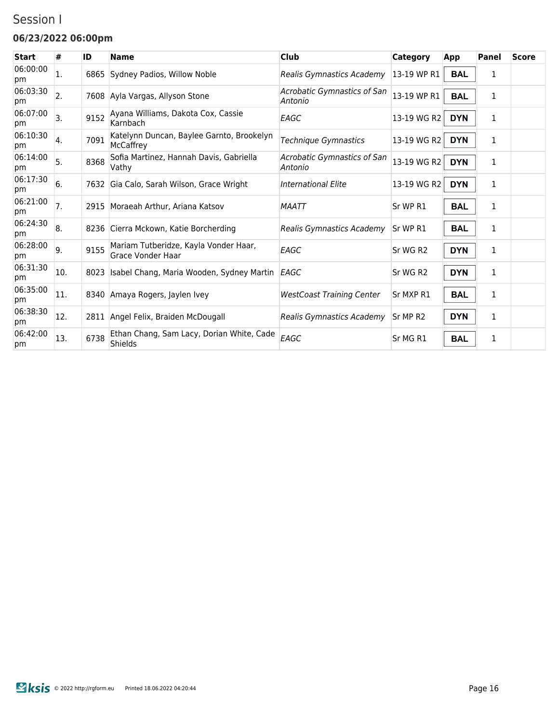### Session I

#### **06/23/2022 06:00pm**

| <b>Start</b>   | #   | ID   | <b>Name</b>                                                | <b>Club</b>                            | <b>Category</b> | App        | Panel        | <b>Score</b> |
|----------------|-----|------|------------------------------------------------------------|----------------------------------------|-----------------|------------|--------------|--------------|
| 06:00:00<br>pm | 1.  |      | 6865 Sydney Padios, Willow Noble                           | Realis Gymnastics Academy              | 13-19 WP R1     | <b>BAL</b> | 1            |              |
| 06:03:30<br>pm | 2.  |      | 7608 Ayla Vargas, Allyson Stone                            | Acrobatic Gymnastics of San<br>Antonio | 13-19 WP R1     | <b>BAL</b> | $\mathbf{1}$ |              |
| 06:07:00<br>pm | 3.  | 9152 | Ayana Williams, Dakota Cox, Cassie<br>Karnbach             | EAGC                                   | 13-19 WG R2     | <b>DYN</b> | 1            |              |
| 06:10:30<br>pm | 4.  | 7091 | Katelynn Duncan, Baylee Garnto, Brookelyn<br>McCaffrey     | Technique Gymnastics                   | 13-19 WG R2     | <b>DYN</b> | 1            |              |
| 06:14:00<br>pm | 5.  | 8368 | Sofia Martinez, Hannah Davis, Gabriella<br>Vathy           | Acrobatic Gymnastics of San<br>Antonio | 13-19 WG R2     | <b>DYN</b> | 1            |              |
| 06:17:30<br>pm | 6.  |      | 7632 Gia Calo, Sarah Wilson, Grace Wright                  | <b>International Elite</b>             | 13-19 WG R2     | <b>DYN</b> | 1            |              |
| 06:21:00<br>pm | 7.  | 2915 | Moraeah Arthur, Ariana Katsov                              | <b>MAATT</b>                           | Sr WP R1        | <b>BAL</b> | 1            |              |
| 06:24:30<br>pm | 8.  |      | 8236 Cierra Mckown, Katie Borcherding                      | Realis Gymnastics Academy              | Sr WP R1        | <b>BAL</b> | 1            |              |
| 06:28:00<br>pm | 9.  | 9155 | Mariam Tutberidze, Kayla Vonder Haar,<br>Grace Vonder Haar | EAGC                                   | Sr WG R2        | <b>DYN</b> | 1            |              |
| 06:31:30<br>pm | 10. | 8023 | Isabel Chang, Maria Wooden, Sydney Martin                  | EAGC                                   | Sr WG R2        | <b>DYN</b> | 1            |              |
| 06:35:00<br>pm | 11. |      | 8340 Amaya Rogers, Jaylen Ivey                             | <b>WestCoast Training Center</b>       | Sr MXP R1       | <b>BAL</b> | 1            |              |
| 06:38:30<br>pm | 12. |      | 2811 Angel Felix, Braiden McDougall                        | Realis Gymnastics Academy              | Sr MP R2        | <b>DYN</b> | 1            |              |
| 06:42:00<br>pm | 13. | 6738 | Ethan Chang, Sam Lacy, Dorian White, Cade<br>Shields       | EAGC                                   | Sr MG R1        | <b>BAL</b> | 1            |              |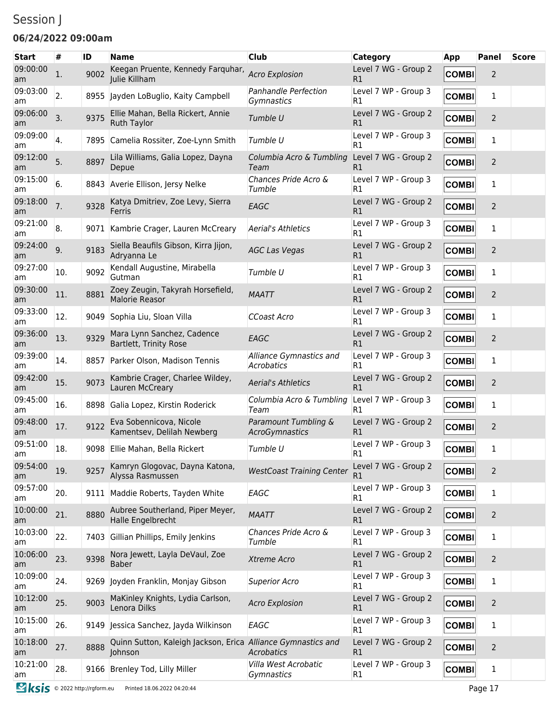## Session J

#### **06/24/2022 09:00am**

| <b>Start</b>   | #   | ID   | <b>Name</b>                                                             | <b>Club</b>                                      | <b>Category</b>            | App          | <b>Panel</b>   | <b>Score</b> |
|----------------|-----|------|-------------------------------------------------------------------------|--------------------------------------------------|----------------------------|--------------|----------------|--------------|
| 09:00:00<br>am | 1.  | 9002 | Keegan Pruente, Kennedy Farquhar,<br>Julie Killham                      | <b>Acro Explosion</b>                            | Level 7 WG - Group 2<br>R1 | <b>COMBI</b> | $\overline{2}$ |              |
| 09:03:00<br>am | 2.  |      | 8955 Jayden LoBuglio, Kaity Campbell                                    | Panhandle Perfection<br>Gymnastics               | Level 7 WP - Group 3<br>R1 | <b>COMBI</b> | 1              |              |
| 09:06:00<br>am | 3.  | 9375 | Ellie Mahan, Bella Rickert, Annie<br><b>Ruth Taylor</b>                 | Tumble U                                         | Level 7 WG - Group 2<br>R1 | <b>COMBI</b> | $\overline{2}$ |              |
| 09:09:00<br>am | 4.  | 7895 | Camelia Rossiter, Zoe-Lynn Smith                                        | Tumble U                                         | Level 7 WP - Group 3<br>R1 | <b>COMBI</b> | 1              |              |
| 09:12:00<br>am | 5.  | 8897 | Lila Williams, Galia Lopez, Dayna<br>Depue                              | Columbia Acro & Tumbling<br>Team                 | Level 7 WG - Group 2<br>R1 | <b>COMBI</b> | 2              |              |
| 09:15:00<br>am | 6.  |      | 8843 Averie Ellison, Jersy Nelke                                        | Chances Pride Acro &<br>Tumble                   | Level 7 WP - Group 3<br>R1 | <b>COMBI</b> | 1              |              |
| 09:18:00<br>am | 7.  | 9328 | Katya Dmitriev, Zoe Levy, Sierra<br>Ferris                              | EAGC                                             | Level 7 WG - Group 2<br>R1 | <b>COMBI</b> | $\overline{2}$ |              |
| 09:21:00<br>am | 8.  | 9071 | Kambrie Crager, Lauren McCreary                                         | Aerial's Athletics                               | Level 7 WP - Group 3<br>R1 | <b>COMBI</b> | 1              |              |
| 09:24:00<br>am | 9.  | 9183 | Siella Beaufils Gibson, Kirra Jijon,<br>Adryanna Le                     | <b>AGC Las Vegas</b>                             | Level 7 WG - Group 2<br>R1 | <b>COMBI</b> | $\overline{2}$ |              |
| 09:27:00<br>am | 10. | 9092 | Kendall Augustine, Mirabella<br>Gutman                                  | Tumble U                                         | Level 7 WP - Group 3<br>R1 | <b>COMBI</b> | 1              |              |
| 09:30:00<br>am | 11. | 8881 | Zoey Zeugin, Takyrah Horsefield,<br>Malorie Reasor                      | <b>MAATT</b>                                     | Level 7 WG - Group 2<br>R1 | <b>COMBI</b> | 2              |              |
| 09:33:00<br>am | 12. | 9049 | Sophia Liu, Sloan Villa                                                 | <b>CCoast Acro</b>                               | Level 7 WP - Group 3<br>R1 | <b>COMBI</b> | 1              |              |
| 09:36:00<br>am | 13. | 9329 | Mara Lynn Sanchez, Cadence<br>Bartlett, Trinity Rose                    | EAGC                                             | Level 7 WG - Group 2<br>R1 | <b>COMBI</b> | $\overline{2}$ |              |
| 09:39:00<br>am | 14. | 8857 | Parker Olson, Madison Tennis                                            | Alliance Gymnastics and<br>Acrobatics            | Level 7 WP - Group 3<br>R1 | <b>COMBI</b> | 1              |              |
| 09:42:00<br>am | 15. | 9073 | Kambrie Crager, Charlee Wildey,<br>Lauren McCreary                      | <b>Aerial's Athletics</b>                        | Level 7 WG - Group 2<br>R1 | <b>COMBI</b> | $\overline{2}$ |              |
| 09:45:00<br>am | 16. | 8898 | Galia Lopez, Kirstin Roderick                                           | Columbia Acro & Tumbling<br>Team                 | Level 7 WP - Group 3<br>R1 | <b>COMBI</b> | 1              |              |
| 09:48:00<br>am | 17. | 9122 | Eva Sobennicova, Nicole<br>Kamentsev, Delilah Newberg                   | Paramount Tumbling &<br>AcroGymnastics           | Level 7 WG - Group 2<br>R1 | <b>COMBI</b> | $\overline{2}$ |              |
| 09:51:00<br>am | 18. |      | 9098 Ellie Mahan, Bella Rickert                                         | Tumble U                                         | Level 7 WP - Group 3<br>R1 | <b>COMBI</b> | 1              |              |
| 09:54:00<br>am | 19. | 9257 | Kamryn Glogovac, Dayna Katona,<br>Alyssa Rasmussen                      | <b>WestCoast Training Center</b>                 | Level 7 WG - Group 2<br>R1 | <b>COMBI</b> | $\overline{2}$ |              |
| 09:57:00<br>am | 20. |      | 9111 Maddie Roberts, Tayden White                                       | EAGC                                             | Level 7 WP - Group 3<br>R1 | <b>COMBI</b> | 1              |              |
| 10:00:00<br>am | 21. | 8880 | Aubree Southerland, Piper Meyer,<br>Halle Engelbrecht                   | <b>MAATT</b>                                     | Level 7 WG - Group 2<br>R1 | <b>COMBI</b> | $\overline{2}$ |              |
| 10:03:00<br>am | 22. |      | 7403 Gillian Phillips, Emily Jenkins                                    | Chances Pride Acro &<br>Tumble                   | Level 7 WP - Group 3<br>R1 | <b>COMBI</b> | 1              |              |
| 10:06:00<br>am | 23. | 9398 | Nora Jewett, Layla DeVaul, Zoe<br><b>Baber</b>                          | Xtreme Acro                                      | Level 7 WG - Group 2<br>R1 | <b>COMBI</b> | 2              |              |
| 10:09:00<br>am | 24. |      | 9269 Joyden Franklin, Monjay Gibson                                     | <b>Superior Acro</b>                             | Level 7 WP - Group 3<br>R1 | <b>COMBI</b> | 1              |              |
| 10:12:00<br>am | 25. | 9003 | MaKinley Knights, Lydia Carlson,<br>Lenora Dilks                        | <b>Acro Explosion</b>                            | Level 7 WG - Group 2<br>R1 | <b>COMBI</b> | $\overline{2}$ |              |
| 10:15:00<br>am | 26. |      | 9149 Jessica Sanchez, Jayda Wilkinson                                   | EAGC                                             | Level 7 WP - Group 3<br>R1 | <b>COMBI</b> | 1              |              |
| 10:18:00<br>am | 27. | 8888 | Quinn Sutton, Kaleigh Jackson, Erica Alliance Gymnastics and<br>Johnson | Acrobatics                                       | Level 7 WG - Group 2<br>R1 | <b>COMBI</b> | $\overline{2}$ |              |
| 10:21:00<br>am | 28. |      | 9166 Brenley Tod, Lilly Miller                                          | Villa West Acrobatic<br><i><b>Gymnastics</b></i> | Level 7 WP - Group 3<br>R1 | <b>COMBI</b> | 1              |              |
|                |     |      |                                                                         |                                                  |                            |              |                |              |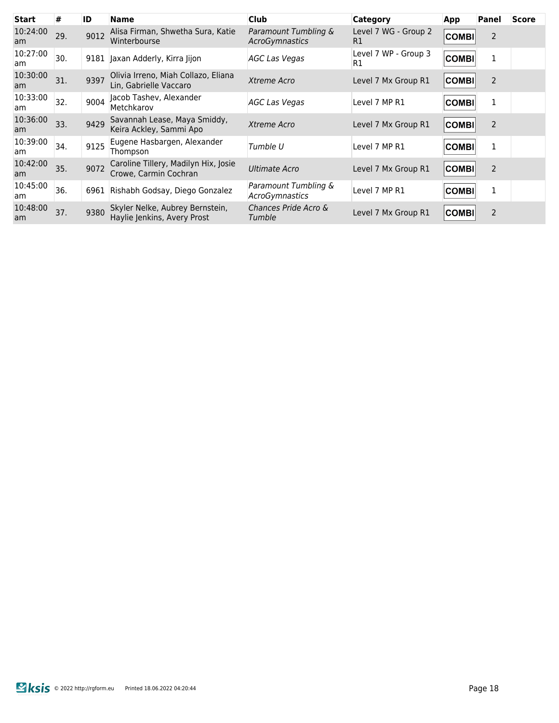| <b>Start</b>   | #   | ID   | <b>Name</b>                                                    | <b>Club</b>                                   | <b>Category</b>            | App          | Panel          | <b>Score</b> |
|----------------|-----|------|----------------------------------------------------------------|-----------------------------------------------|----------------------------|--------------|----------------|--------------|
| 10:24:00<br>am | 29. | 9012 | Alisa Firman, Shwetha Sura, Katie<br>Winterbourse              | Paramount Tumbling &<br><b>AcroGymnastics</b> | Level 7 WG - Group 2<br>R1 | <b>COMBI</b> | $\overline{2}$ |              |
| 10:27:00<br>am | 30. |      | 9181 Jaxan Adderly, Kirra Jijon                                | <b>AGC Las Vegas</b>                          | Level 7 WP - Group 3<br>R1 | <b>COMBI</b> | $\mathbf{1}$   |              |
| 10:30:00<br>am | 31. | 9397 | Olivia Irreno, Miah Collazo, Eliana<br>Lin, Gabrielle Vaccaro  | Xtreme Acro                                   | Level 7 Mx Group R1        | <b>COMBI</b> | $\overline{2}$ |              |
| 10:33:00<br>am | 32. | 9004 | Jacob Tashev, Alexander<br>Metchkarov                          | <b>AGC Las Vegas</b>                          | Level 7 MP R1              | <b>COMBI</b> | 1              |              |
| 10:36:00<br>am | 33. | 9429 | Savannah Lease, Maya Smiddy,<br>Keira Ackley, Sammi Apo        | Xtreme Acro                                   | Level 7 Mx Group R1        | <b>COMBI</b> | $\overline{2}$ |              |
| 10:39:00<br>am | 34. | 9125 | Eugene Hasbargen, Alexander<br>Thompson                        | Tumble U                                      | Level 7 MP R1              | <b>COMBI</b> | 1              |              |
| 10:42:00<br>am | 35. | 9072 | Caroline Tillery, Madilyn Hix, Josie<br>Crowe, Carmin Cochran  | <b>Ultimate Acro</b>                          | Level 7 Mx Group R1        | <b>COMBI</b> | $\overline{2}$ |              |
| 10:45:00<br>am | 36. | 6961 | Rishabh Godsay, Diego Gonzalez                                 | Paramount Tumbling &<br>AcroGymnastics        | Level 7 MP R1              | <b>COMBI</b> | 1              |              |
| 10:48:00<br>am | 37. | 9380 | Skyler Nelke, Aubrey Bernstein,<br>Haylie Jenkins, Avery Prost | Chances Pride Acro &<br>Tumble                | Level 7 Mx Group R1        | <b>COMBI</b> | $\overline{2}$ |              |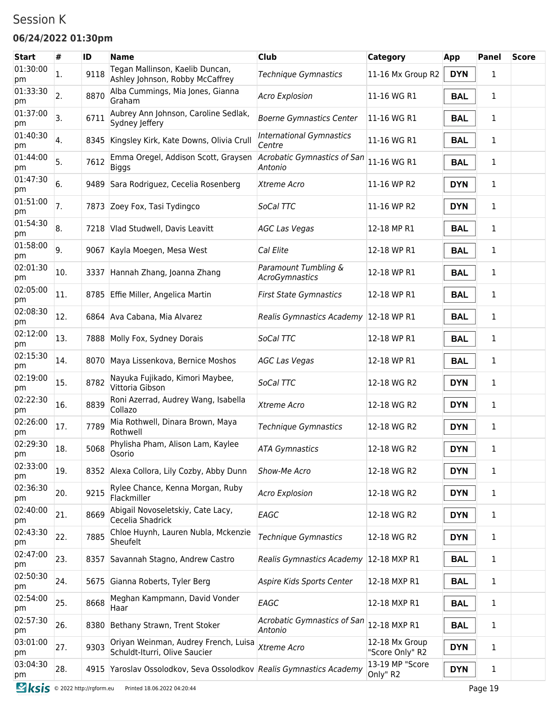### Session K

#### **06/24/2022 01:30pm**

| <b>Start</b>   | #   | ID   | <b>Name</b>                                                           | <b>Club</b>                                   | <b>Category</b>                   | <b>App</b> | <b>Panel</b> | <b>Score</b> |
|----------------|-----|------|-----------------------------------------------------------------------|-----------------------------------------------|-----------------------------------|------------|--------------|--------------|
| 01:30:00<br>pm | 1.  | 9118 | Tegan Mallinson, Kaelib Duncan,<br>Ashley Johnson, Robby McCaffrey    | Technique Gymnastics                          | 11-16 Mx Group R2                 | <b>DYN</b> | 1            |              |
| 01:33:30<br>pm | 2.  | 8870 | Alba Cummings, Mia Jones, Gianna<br>Graham                            | <b>Acro Explosion</b>                         | 11-16 WG R1                       | <b>BAL</b> | 1            |              |
| 01:37:00<br>pm | 3.  | 6711 | Aubrey Ann Johnson, Caroline Sedlak,<br>Sydney Jeffery                | <b>Boerne Gymnastics Center</b>               | 11-16 WG R1                       | <b>BAL</b> | 1            |              |
| 01:40:30<br>pm | 4.  |      | 8345 Kingsley Kirk, Kate Downs, Olivia Crull                          | <b>International Gymnastics</b><br>Centre     | 11-16 WG R1                       | <b>BAL</b> | 1            |              |
| 01:44:00<br>pm | 5.  | 7612 | Emma Oregel, Addison Scott, Graysen<br>Biggs                          | Acrobatic Gymnastics of San<br>Antonio        | 11-16 WG R1                       | <b>BAL</b> | 1            |              |
| 01:47:30<br>pm | 6.  |      | 9489 Sara Rodriguez, Cecelia Rosenberg                                | Xtreme Acro                                   | 11-16 WP R2                       | <b>DYN</b> | 1            |              |
| 01:51:00<br>pm | 7.  |      | 7873 Zoey Fox, Tasi Tydingco                                          | SoCal TTC                                     | 11-16 WP R2                       | <b>DYN</b> | 1            |              |
| 01:54:30<br>pm | 8.  |      | 7218 Vlad Studwell, Davis Leavitt                                     | <b>AGC Las Vegas</b>                          | 12-18 MP R1                       | <b>BAL</b> | 1            |              |
| 01:58:00<br>pm | 9.  | 9067 | Kayla Moegen, Mesa West                                               | Cal Elite                                     | 12-18 WP R1                       | <b>BAL</b> | 1            |              |
| 02:01:30<br>pm | 10. |      | 3337 Hannah Zhang, Joanna Zhang                                       | Paramount Tumbling &<br><b>AcroGymnastics</b> | 12-18 WP R1                       | <b>BAL</b> | 1            |              |
| 02:05:00<br>pm | 11. |      | 8785 Effie Miller, Angelica Martin                                    | <b>First State Gymnastics</b>                 | 12-18 WP R1                       | <b>BAL</b> | 1            |              |
| 02:08:30<br>pm | 12. |      | 6864 Ava Cabana, Mia Alvarez                                          | Realis Gymnastics Academy 12-18 WP R1         |                                   | <b>BAL</b> | 1            |              |
| 02:12:00<br>pm | 13. |      | 7888 Molly Fox, Sydney Dorais                                         | SoCal TTC                                     | 12-18 WP R1                       | <b>BAL</b> | 1            |              |
| 02:15:30<br>pm | 14. |      | 8070 Maya Lissenkova, Bernice Moshos                                  | <b>AGC Las Vegas</b>                          | 12-18 WP R1                       | <b>BAL</b> | 1            |              |
| 02:19:00<br>pm | 15. | 8782 | Nayuka Fujikado, Kimori Maybee,<br>Vittoria Gibson                    | SoCal TTC                                     | 12-18 WG R2                       | <b>DYN</b> | 1            |              |
| 02:22:30<br>pm | 16. | 8839 | Roni Azerrad, Audrey Wang, Isabella<br>Collazo                        | Xtreme Acro                                   | 12-18 WG R2                       | <b>DYN</b> | 1            |              |
| 02:26:00<br>pm | 17. | 7789 | Mia Rothwell, Dinara Brown, Maya<br>Rothwell                          | <b>Technique Gymnastics</b>                   | 12-18 WG R2                       | <b>DYN</b> | 1            |              |
| 02:29:30<br>pm | 18. | 5068 | Phylisha Pham, Alison Lam, Kaylee<br>Osorio                           | <b>ATA Gymnastics</b>                         | 12-18 WG R2                       | <b>DYN</b> | 1            |              |
| 02:33:00<br>pm | 19. |      | 8352 Alexa Collora, Lily Cozby, Abby Dunn                             | Show-Me Acro                                  | 12-18 WG R2                       | <b>DYN</b> | 1            |              |
| 02:36:30<br>pm | 20. | 9215 | Rylee Chance, Kenna Morgan, Ruby<br>Flackmiller                       | <b>Acro Explosion</b>                         | 12-18 WG R2                       | <b>DYN</b> | 1            |              |
| 02:40:00<br>pm | 21. | 8669 | Abigail Novoseletskiy, Cate Lacy,<br>Cecelia Shadrick                 | EAGC                                          | 12-18 WG R2                       | <b>DYN</b> | 1            |              |
| 02:43:30<br>pm | 22. | 7885 | Chloe Huynh, Lauren Nubla, Mckenzie<br>Sheufelt                       | <b>Technique Gymnastics</b>                   | 12-18 WG R2                       | <b>DYN</b> | 1            |              |
| 02:47:00<br>pm | 23. |      | 8357 Savannah Stagno, Andrew Castro                                   | Realis Gymnastics Academy 12-18 MXP R1        |                                   | <b>BAL</b> | 1            |              |
| 02:50:30<br>pm | 24. |      | 5675 Gianna Roberts, Tyler Berg                                       | Aspire Kids Sports Center                     | 12-18 MXP R1                      | <b>BAL</b> | 1            |              |
| 02:54:00<br>pm | 25. | 8668 | Meghan Kampmann, David Vonder<br>Haar                                 | EAGC                                          | 12-18 MXP R1                      | <b>BAL</b> | 1            |              |
| 02:57:30<br>pm | 26. | 8380 | Bethany Strawn, Trent Stoker                                          | Acrobatic Gymnastics of San<br>Antonio        | 12-18 MXP R1                      | <b>BAL</b> | 1            |              |
| 03:01:00<br>pm | 27. | 9303 | Oriyan Weinman, Audrey French, Luisa<br>Schuldt-Iturri, Olive Saucier | Xtreme Acro                                   | 12-18 Mx Group<br>"Score Only" R2 | <b>DYN</b> | 1            |              |
| 03:04:30<br>pm | 28. |      | 4915 Yaroslav Ossolodkov, Seva Ossolodkov Realis Gymnastics Academy   |                                               | 13-19 MP "Score<br>Only" R2       | <b>DYN</b> | 1            |              |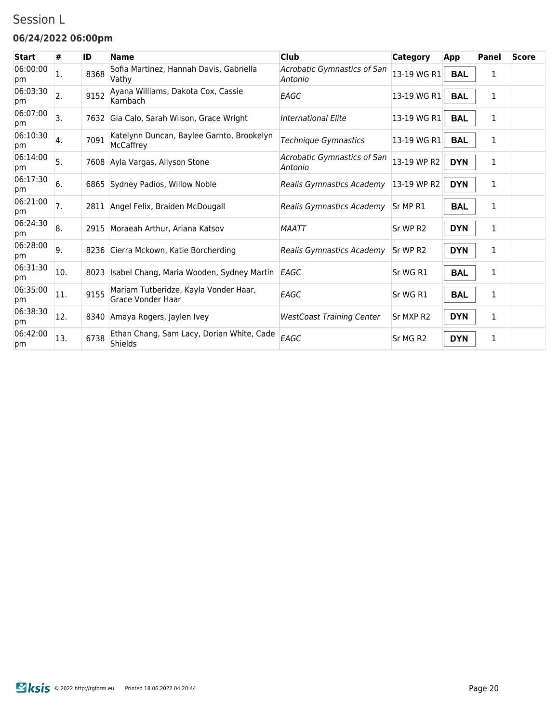### Session L

#### **06/24/2022 06:00pm**

| <b>Start</b>   | #                | ID   | <b>Name</b>                                                | <b>Club</b>                            | Category             | App        | Panel        | <b>Score</b> |
|----------------|------------------|------|------------------------------------------------------------|----------------------------------------|----------------------|------------|--------------|--------------|
| 06:00:00<br>pm | 1.               | 8368 | Sofia Martinez, Hannah Davis, Gabriella<br>Vathy           | Acrobatic Gymnastics of San<br>Antonio | 13-19 WG R1          | <b>BAL</b> | 1            |              |
| 06:03:30<br>pm | $\overline{2}$ . | 9152 | Ayana Williams, Dakota Cox, Cassie<br>Karnbach             | EAGC                                   | 13-19 WG R1          | <b>BAL</b> | 1            |              |
| 06:07:00<br>pm | 3.               | 7632 | Gia Calo, Sarah Wilson, Grace Wright                       | <b>International Elite</b>             | 13-19 WG R1          | <b>BAL</b> | 1            |              |
| 06:10:30<br>pm | 4.               | 7091 | Katelynn Duncan, Baylee Garnto, Brookelyn<br>McCaffrey     | Technique Gymnastics                   | 13-19 WG R1          | <b>BAL</b> | 1            |              |
| 06:14:00<br>pm | 5.               |      | 7608 Ayla Vargas, Allyson Stone                            | Acrobatic Gymnastics of San<br>Antonio | 13-19 WP R2          | <b>DYN</b> | $\mathbf{1}$ |              |
| 06:17:30<br>pm | 6.               |      | 6865 Sydney Padios, Willow Noble                           | Realis Gymnastics Academy              | 13-19 WP R2          | <b>DYN</b> | 1            |              |
| 06:21:00<br>pm | 7.               |      | 2811 Angel Felix, Braiden McDougall                        | Realis Gymnastics Academy              | Sr MP R1             | <b>BAL</b> | 1            |              |
| 06:24:30<br>pm | 8.               |      | 2915 Moraeah Arthur, Ariana Katsov                         | <b>MAATT</b>                           | Sr WP R2             | <b>DYN</b> | 1            |              |
| 06:28:00<br>pm | 9.               |      | 8236 Cierra Mckown, Katie Borcherding                      | Realis Gymnastics Academy              | Sr WP R2             | <b>DYN</b> | 1            |              |
| 06:31:30<br>pm | 10.              | 8023 | Isabel Chang, Maria Wooden, Sydney Martin EAGC             |                                        | Sr WG R1             | <b>BAL</b> | 1            |              |
| 06:35:00<br>pm | 11.              | 9155 | Mariam Tutberidze, Kayla Vonder Haar,<br>Grace Vonder Haar | EAGC                                   | Sr WG R1             | <b>BAL</b> | 1            |              |
| 06:38:30<br>pm | 12.              |      | 8340 Amaya Rogers, Jaylen Ivey                             | <b>WestCoast Training Center</b>       | Sr MXP R2            | <b>DYN</b> | 1            |              |
| 06:42:00<br>pm | 13.              | 6738 | Ethan Chang, Sam Lacy, Dorian White, Cade<br>Shields       | EAGC                                   | Sr MG R <sub>2</sub> | <b>DYN</b> | 1            |              |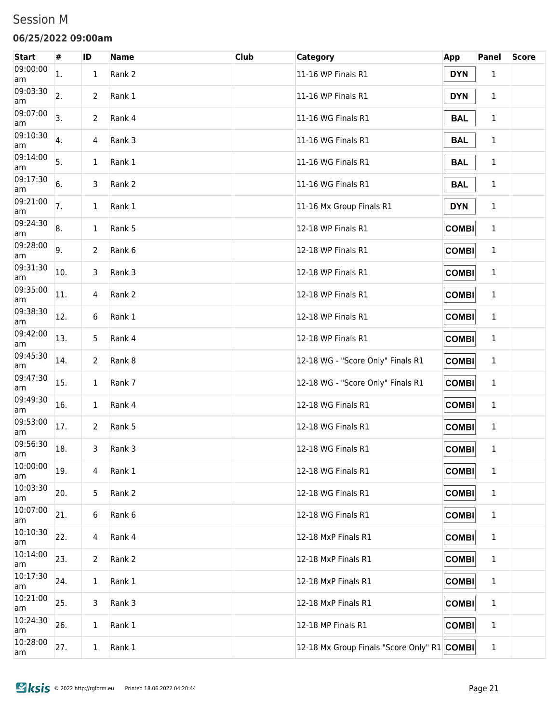#### Session M

#### **06/25/2022 09:00am**

| <b>Start</b>   | #   | ID           | <b>Name</b> | <b>Club</b> | Category                                    | <b>App</b>   | <b>Panel</b> | <b>Score</b> |
|----------------|-----|--------------|-------------|-------------|---------------------------------------------|--------------|--------------|--------------|
| 09:00:00<br>am | 1.  | 1            | Rank 2      |             | 11-16 WP Finals R1                          | <b>DYN</b>   | 1            |              |
| 09:03:30<br>am | 2.  | 2            | Rank 1      |             | 11-16 WP Finals R1                          | <b>DYN</b>   | $\mathbf 1$  |              |
| 09:07:00<br>am | 3.  | 2            | Rank 4      |             | 11-16 WG Finals R1                          | <b>BAL</b>   | $\mathbf 1$  |              |
| 09:10:30<br>am | 4.  | 4            | Rank 3      |             | 11-16 WG Finals R1                          | <b>BAL</b>   | $\mathbf 1$  |              |
| 09:14:00<br>am | 5.  | $\mathbf 1$  | Rank 1      |             | 11-16 WG Finals R1                          | <b>BAL</b>   | $\mathbf{1}$ |              |
| 09:17:30<br>am | 6.  | 3            | Rank 2      |             | 11-16 WG Finals R1                          | <b>BAL</b>   | 1            |              |
| 09:21:00<br>am | 7.  | $\mathbf 1$  | Rank 1      |             | 11-16 Mx Group Finals R1                    | <b>DYN</b>   | 1            |              |
| 09:24:30<br>am | 8.  | 1            | Rank 5      |             | 12-18 WP Finals R1                          | <b>COMBI</b> | 1            |              |
| 09:28:00<br>am | 9.  | 2            | Rank 6      |             | 12-18 WP Finals R1                          | <b>COMBI</b> | $\mathbf{1}$ |              |
| 09:31:30<br>am | 10. | 3            | Rank 3      |             | 12-18 WP Finals R1                          | <b>COMBI</b> | 1            |              |
| 09:35:00<br>am | 11. | 4            | Rank 2      |             | 12-18 WP Finals R1                          | <b>COMBI</b> | 1            |              |
| 09:38:30<br>am | 12. | 6            | Rank 1      |             | 12-18 WP Finals R1                          | <b>COMBI</b> | 1            |              |
| 09:42:00<br>am | 13. | 5            | Rank 4      |             | 12-18 WP Finals R1                          | <b>COMBI</b> | 1            |              |
| 09:45:30<br>am | 14. | 2            | Rank 8      |             | 12-18 WG - "Score Only" Finals R1           | <b>COMBI</b> | 1            |              |
| 09:47:30<br>am | 15. | $\mathbf 1$  | Rank 7      |             | 12-18 WG - "Score Only" Finals R1           | <b>COMBI</b> | 1            |              |
| 09:49:30<br>am | 16. | $\mathbf 1$  | Rank 4      |             | 12-18 WG Finals R1                          | <b>COMBI</b> | 1            |              |
| 09:53:00<br>am | 17. | 2            | Rank 5      |             | 12-18 WG Finals R1                          | <b>COMBI</b> | 1            |              |
| 09:56:30<br>am | 18. | 3            | Rank 3      |             | 12-18 WG Finals R1                          | <b>COMBI</b> | 1            |              |
| 10:00:00<br>am | 19. | 4            | Rank 1      |             | 12-18 WG Finals R1                          | <b>COMBI</b> | $\mathbf{1}$ |              |
| 10:03:30<br>am | 20. | 5            | Rank 2      |             | 12-18 WG Finals R1                          | <b>COMBI</b> | $\mathbf{1}$ |              |
| 10:07:00<br>am | 21. | 6            | Rank 6      |             | 12-18 WG Finals R1                          | <b>COMBI</b> | $\mathbf{1}$ |              |
| 10:10:30<br>am | 22. | 4            | Rank 4      |             | 12-18 MxP Finals R1                         | <b>COMBI</b> | $\mathbf{1}$ |              |
| 10:14:00<br>am | 23. | 2            | Rank 2      |             | 12-18 MxP Finals R1                         | <b>COMBI</b> | $\mathbf{1}$ |              |
| 10:17:30<br>am | 24. | $\mathbf 1$  | Rank 1      |             | 12-18 MxP Finals R1                         | <b>COMBI</b> | $\mathbf{1}$ |              |
| 10:21:00<br>am | 25. | 3            | Rank 3      |             | 12-18 MxP Finals R1                         | <b>COMBI</b> | $\mathbf{1}$ |              |
| 10:24:30<br>am | 26. | $\mathbf{1}$ | Rank 1      |             | 12-18 MP Finals R1                          | <b>COMBI</b> | $\mathbf{1}$ |              |
| 10:28:00<br>am | 27. | $\mathbf 1$  | Rank 1      |             | 12-18 Mx Group Finals "Score Only" R1 COMBI |              | $\mathbf{1}$ |              |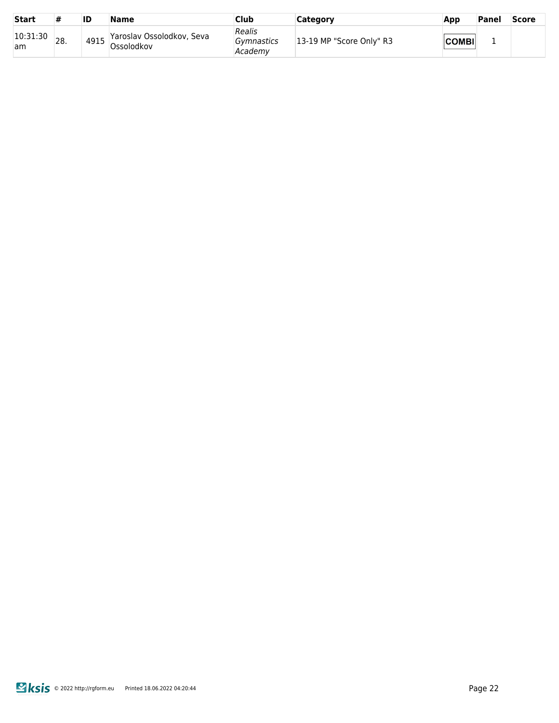| <b>Start</b>   | #   | ID   | <b>Name</b>                              | Club                            | Category                 | App          | Panel | <b>Score</b> |
|----------------|-----|------|------------------------------------------|---------------------------------|--------------------------|--------------|-------|--------------|
| 10:31:30<br>am | 28. | 4915 | Yaroslav Ossolodkov, Seva<br>'Ossolodkov | Realis<br>Gymnastics<br>Academv | 13-19 MP "Score Only" R3 | <b>COMBI</b> |       |              |